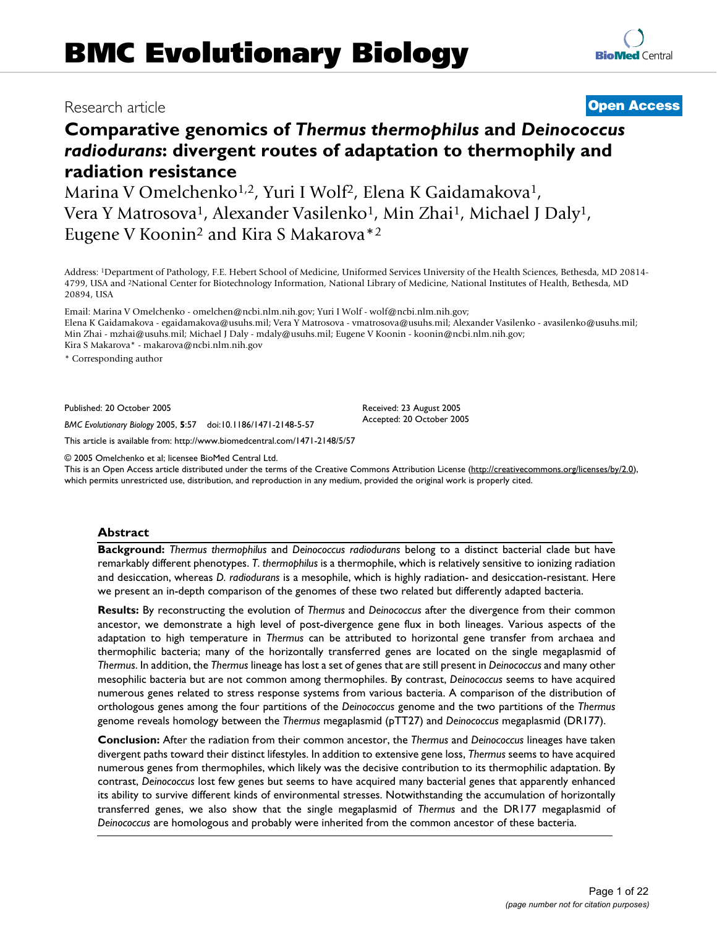## Research article **[Open Access](http://www.biomedcentral.com/info/about/charter/)**

# **Comparative genomics of** *Thermus thermophilus* **and** *Deinococcus radiodurans***: divergent routes of adaptation to thermophily and radiation resistance**

Marina V Omelchenko<sup>1,2</sup>, Yuri I Wolf<sup>2</sup>, Elena K Gaidamakova<sup>1</sup>, Vera Y Matrosova<sup>1</sup>, Alexander Vasilenko<sup>1</sup>, Min Zhai<sup>1</sup>, Michael J Daly<sup>1</sup>, Eugene V Koonin2 and Kira S Makarova\*2

Address: 1Department of Pathology, F.E. Hebert School of Medicine, Uniformed Services University of the Health Sciences, Bethesda, MD 20814- 4799, USA and 2National Center for Biotechnology Information, National Library of Medicine, National Institutes of Health, Bethesda, MD 20894, USA

Email: Marina V Omelchenko - omelchen@ncbi.nlm.nih.gov; Yuri I Wolf - wolf@ncbi.nlm.nih.gov; Elena K Gaidamakova - egaidamakova@usuhs.mil; Vera Y Matrosova - vmatrosova@usuhs.mil; Alexander Vasilenko - avasilenko@usuhs.mil; Min Zhai - mzhai@usuhs.mil; Michael J Daly - mdaly@usuhs.mil; Eugene V Koonin - koonin@ncbi.nlm.nih.gov; Kira S Makarova\* - makarova@ncbi.nlm.nih.gov

\* Corresponding author

Published: 20 October 2005

*BMC Evolutionary Biology* 2005, **5**:57 doi:10.1186/1471-2148-5-57

[This article is available from: http://www.biomedcentral.com/1471-2148/5/57](http://www.biomedcentral.com/1471-2148/5/57)

© 2005 Omelchenko et al; licensee BioMed Central Ltd.

This is an Open Access article distributed under the terms of the Creative Commons Attribution License [\(http://creativecommons.org/licenses/by/2.0\)](http://creativecommons.org/licenses/by/2.0), which permits unrestricted use, distribution, and reproduction in any medium, provided the original work is properly cited.

### **Abstract**

**Background:** *Thermus thermophilus* and *Deinococcus radiodurans* belong to a distinct bacterial clade but have remarkably different phenotypes. *T. thermophilus* is a thermophile, which is relatively sensitive to ionizing radiation and desiccation, whereas *D. radiodurans* is a mesophile, which is highly radiation- and desiccation-resistant. Here we present an in-depth comparison of the genomes of these two related but differently adapted bacteria.

**Results:** By reconstructing the evolution of *Thermus* and *Deinococcus* after the divergence from their common ancestor, we demonstrate a high level of post-divergence gene flux in both lineages. Various aspects of the adaptation to high temperature in *Thermus* can be attributed to horizontal gene transfer from archaea and thermophilic bacteria; many of the horizontally transferred genes are located on the single megaplasmid of *Thermus*. In addition, the *Thermus* lineage has lost a set of genes that are still present in *Deinococcus* and many other mesophilic bacteria but are not common among thermophiles. By contrast, *Deinococcus* seems to have acquired numerous genes related to stress response systems from various bacteria. A comparison of the distribution of orthologous genes among the four partitions of the *Deinococcus* genome and the two partitions of the *Thermus* genome reveals homology between the *Thermus* megaplasmid (pTT27) and *Deinococcus* megaplasmid (DR177).

**Conclusion:** After the radiation from their common ancestor, the *Thermus* and *Deinococcus* lineages have taken divergent paths toward their distinct lifestyles. In addition to extensive gene loss, *Thermus* seems to have acquired numerous genes from thermophiles, which likely was the decisive contribution to its thermophilic adaptation. By contrast, *Deinococcus* lost few genes but seems to have acquired many bacterial genes that apparently enhanced its ability to survive different kinds of environmental stresses. Notwithstanding the accumulation of horizontally transferred genes, we also show that the single megaplasmid of *Thermus* and the DR177 megaplasmid of *Deinococcus* are homologous and probably were inherited from the common ancestor of these bacteria.

Received: 23 August 2005 Accepted: 20 October 2005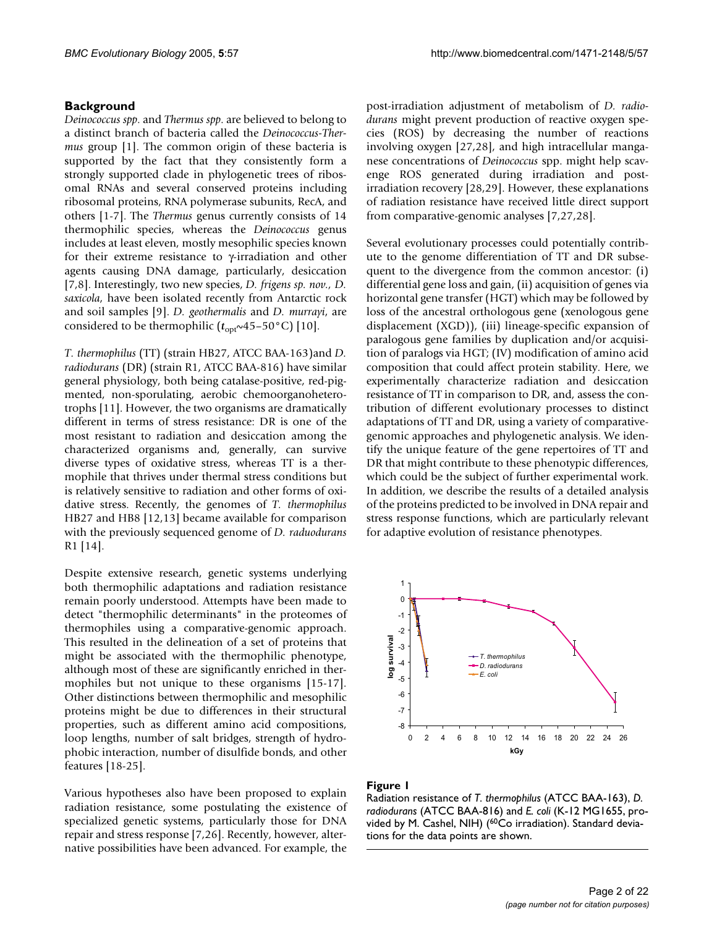## **Background**

*Deinococcus spp*. and *Thermus spp*. are believed to belong to a distinct branch of bacteria called the *Deinococcus-Thermus* group [1]. The common origin of these bacteria is supported by the fact that they consistently form a strongly supported clade in phylogenetic trees of ribosomal RNAs and several conserved proteins including ribosomal proteins, RNA polymerase subunits, RecA, and others [1-7]. The *Thermus* genus currently consists of 14 thermophilic species, whereas the *Deinococcus* genus includes at least eleven, mostly mesophilic species known for their extreme resistance to γ-irradiation and other agents causing DNA damage, particularly, desiccation [7,8]. Interestingly, two new species, *D. frigens sp. nov., D. saxicola*, have been isolated recently from Antarctic rock and soil samples [9]. *D. geothermalis* and *D. murrayi*, are considered to be thermophilic ( $t_{\text{opt}}$ ~45–50°C) [10].

*T. thermophilus* (TT) (strain HB27, ATCC BAA-163)and *D. radiodurans* (DR) (strain R1, ATCC BAA-816) have similar general physiology, both being catalase-positive, red-pigmented, non-sporulating, aerobic chemoorganoheterotrophs [11]. However, the two organisms are dramatically different in terms of stress resistance: DR is one of the most resistant to radiation and desiccation among the characterized organisms and, generally, can survive diverse types of oxidative stress, whereas TT is a thermophile that thrives under thermal stress conditions but is relatively sensitive to radiation and other forms of oxidative stress. Recently, the genomes of *T. thermophilus* HB27 and HB8 [12,13] became available for comparison with the previously sequenced genome of *D. raduodurans* R1 [14].

Despite extensive research, genetic systems underlying both thermophilic adaptations and radiation resistance remain poorly understood. Attempts have been made to detect "thermophilic determinants" in the proteomes of thermophiles using a comparative-genomic approach. This resulted in the delineation of a set of proteins that might be associated with the thermophilic phenotype, although most of these are significantly enriched in thermophiles but not unique to these organisms [15-17]. Other distinctions between thermophilic and mesophilic proteins might be due to differences in their structural properties, such as different amino acid compositions, loop lengths, number of salt bridges, strength of hydrophobic interaction, number of disulfide bonds, and other features [18-25].

Various hypotheses also have been proposed to explain radiation resistance, some postulating the existence of specialized genetic systems, particularly those for DNA repair and stress response [7,26]. Recently, however, alternative possibilities have been advanced. For example, the post-irradiation adjustment of metabolism of *D. radiodurans* might prevent production of reactive oxygen species (ROS) by decreasing the number of reactions involving oxygen [27,28], and high intracellular manganese concentrations of *Deinococcus* spp. might help scavenge ROS generated during irradiation and postirradiation recovery [28,29]. However, these explanations of radiation resistance have received little direct support from comparative-genomic analyses [7,27,28].

Several evolutionary processes could potentially contribute to the genome differentiation of TT and DR subsequent to the divergence from the common ancestor: (i) differential gene loss and gain, (ii) acquisition of genes via horizontal gene transfer (HGT) which may be followed by loss of the ancestral orthologous gene (xenologous gene displacement (XGD)), (iii) lineage-specific expansion of paralogous gene families by duplication and/or acquisition of paralogs via HGT; (IV) modification of amino acid composition that could affect protein stability. Here, we experimentally characterize radiation and desiccation resistance of TT in comparison to DR, and, assess the contribution of different evolutionary processes to distinct adaptations of TT and DR, using a variety of comparativegenomic approaches and phylogenetic analysis. We identify the unique feature of the gene repertoires of TT and DR that might contribute to these phenotypic differences, which could be the subject of further experimental work. In addition, we describe the results of a detailed analysis of the proteins predicted to be involved in DNA repair and stress response functions, which are particularly relevant for adaptive evolution of resistance phenotypes.



## Figure 1

Radiation resistance of *T. thermophilus* (ATCC BAA-163), *D. radiodurans* (ATCC BAA-816) and *E. coli* (K-12 MG1655, provided by M. Cashel, NIH) (<sup>60</sup>Co irradiation). Standard deviations for the data points are shown.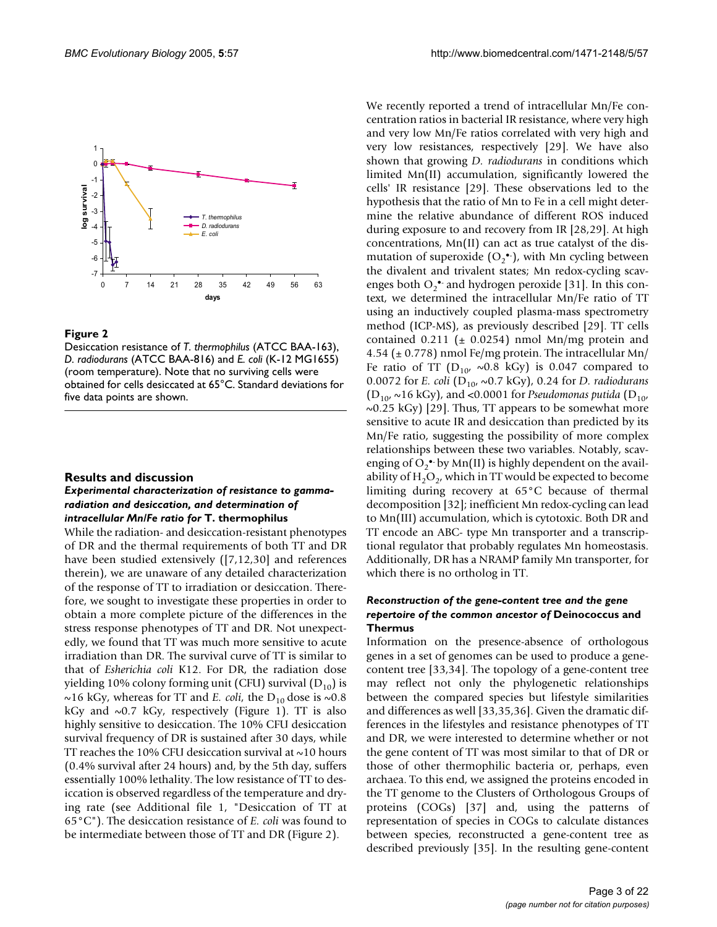

## Figure 2

Desiccation resistance of *T. thermophilus* (ATCC BAA-163), *D. radiodurans* (ATCC BAA-816) and *E. coli* (K-12 MG1655) (room temperature). Note that no surviving cells were obtained for cells desiccated at 65°C. Standard deviations for five data points are shown.

### **Results and discussion**

## *Experimental characterization of resistance to gammaradiation and desiccation, and determination of intracellular Mn/Fe ratio for* **T. thermophilus**

While the radiation- and desiccation-resistant phenotypes of DR and the thermal requirements of both TT and DR have been studied extensively ([7,12,30] and references therein), we are unaware of any detailed characterization of the response of TT to irradiation or desiccation. Therefore, we sought to investigate these properties in order to obtain a more complete picture of the differences in the stress response phenotypes of TT and DR. Not unexpectedly, we found that TT was much more sensitive to acute irradiation than DR. The survival curve of TT is similar to that of *Esherichia coli* K12. For DR, the radiation dose yielding 10% colony forming unit (CFU) survival  $(D_{10})$  is ~16 kGy, whereas for TT and *E. coli*, the  $D_{10}$  dose is ~0.8 kGy and  $\sim 0.7$  kGy, respectively (Figure 1). TT is also highly sensitive to desiccation. The 10% CFU desiccation survival frequency of DR is sustained after 30 days, while TT reaches the 10% CFU desiccation survival at  $\sim$ 10 hours (0.4% survival after 24 hours) and, by the 5th day, suffers essentially 100% lethality. The low resistance of TT to desiccation is observed regardless of the temperature and drying rate (see Additional file 1, "Desiccation of TT at 65°C"). The desiccation resistance of *E. coli* was found to be intermediate between those of TT and DR (Figure 2).

We recently reported a trend of intracellular Mn/Fe concentration ratios in bacterial IR resistance, where very high and very low Mn/Fe ratios correlated with very high and very low resistances, respectively [29]. We have also shown that growing *D. radiodurans* in conditions which limited Mn(II) accumulation, significantly lowered the cells' IR resistance [29]. These observations led to the hypothesis that the ratio of Mn to Fe in a cell might determine the relative abundance of different ROS induced during exposure to and recovery from IR [28,29]. At high concentrations, Mn(II) can act as true catalyst of the dismutation of superoxide  $(O_2^{\bullet})$ , with Mn cycling between the divalent and trivalent states; Mn redox-cycling scavenges both  $O_2$ <sup>\*</sup> and hydrogen peroxide [31]. In this context, we determined the intracellular Mn/Fe ratio of TT using an inductively coupled plasma-mass spectrometry method (ICP-MS), as previously described [29]. TT cells contained 0.211 ( $\pm$  0.0254) nmol Mn/mg protein and 4.54 ( $\pm$  0.778) nmol Fe/mg protein. The intracellular Mn/ Fe ratio of TT  $(D_{10}, \sim 0.8 \text{ kGy})$  is 0.047 compared to 0.0072 for *E. coli* (D<sub>10</sub>, ∼0.7 kGy), 0.24 for *D. radiodurans*  $(D_{10}, \sim 16 \text{ kGy})$ , and <0.0001 for *Pseudomonas putida* (D<sub>10</sub>,  $\sim$ 0.25 kGy) [29]. Thus, TT appears to be somewhat more sensitive to acute IR and desiccation than predicted by its Mn/Fe ratio, suggesting the possibility of more complex relationships between these two variables. Notably, scavenging of  $O_2^{\bullet\bullet}$  by Mn(II) is highly dependent on the availability of  $H_2O_2$ , which in TT would be expected to become limiting during recovery at 65°C because of thermal decomposition [32]; inefficient Mn redox-cycling can lead to Mn(III) accumulation, which is cytotoxic. Both DR and TT encode an ABC- type Mn transporter and a transcriptional regulator that probably regulates Mn homeostasis. Additionally, DR has a NRAMP family Mn transporter, for which there is no ortholog in TT.

## *Reconstruction of the gene-content tree and the gene repertoire of the common ancestor of* **Deinococcus and Thermus**

Information on the presence-absence of orthologous genes in a set of genomes can be used to produce a genecontent tree [33,34]. The topology of a gene-content tree may reflect not only the phylogenetic relationships between the compared species but lifestyle similarities and differences as well [33,35,36]. Given the dramatic differences in the lifestyles and resistance phenotypes of TT and DR, we were interested to determine whether or not the gene content of TT was most similar to that of DR or those of other thermophilic bacteria or, perhaps, even archaea. To this end, we assigned the proteins encoded in the TT genome to the Clusters of Orthologous Groups of proteins (COGs) [37] and, using the patterns of representation of species in COGs to calculate distances between species, reconstructed a gene-content tree as described previously [35]. In the resulting gene-content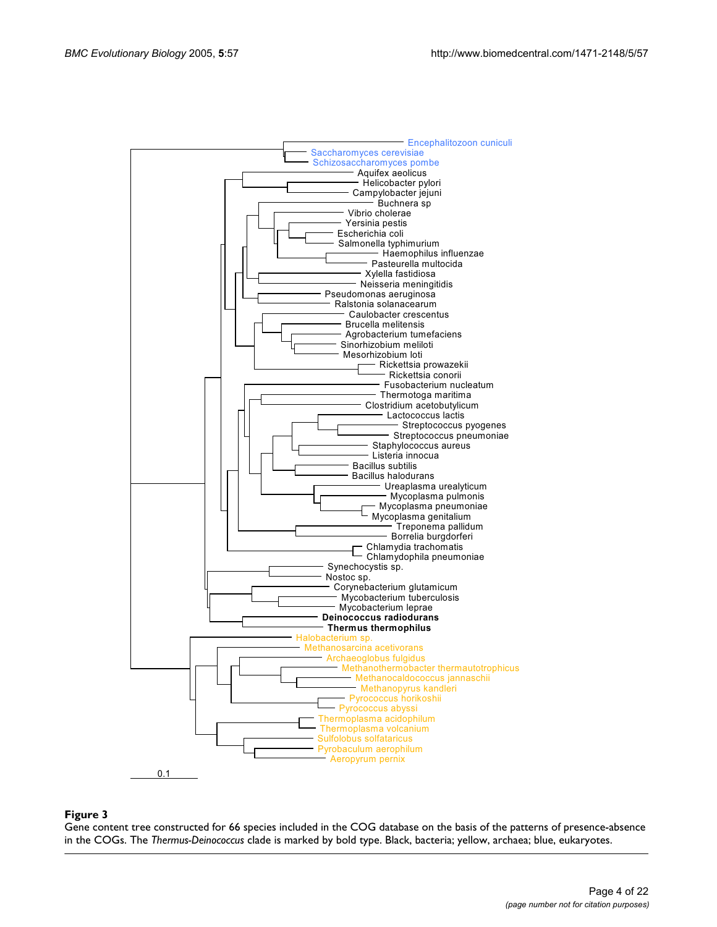

## in the CoGs  $\sim$  66 species included included included in the COG database on the patterns of presence-absence-absence-absence-absence-absence-absence-absence-absence-absence-absence-absence-absence-absence-absence-absence

Gene content tree constructed for 66 species included in the COG database on the basis of the patterns of presence-absence in the COGs. The *Thermus-Deinococcus* clade is marked by bold type. Black, bacteria; yellow, archaea; blue, eukaryotes.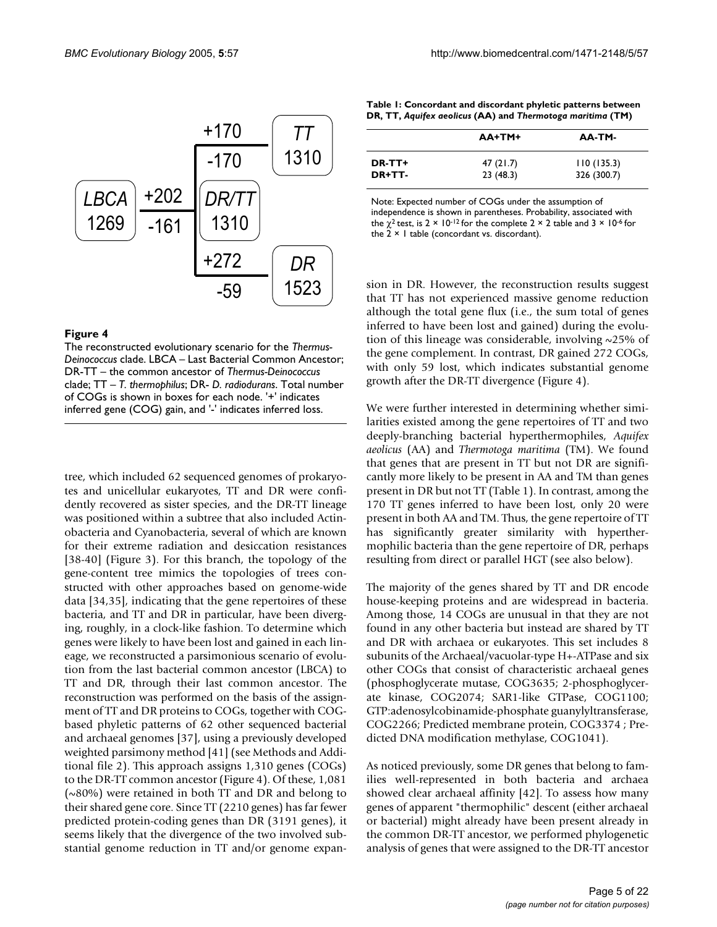

## **Figure 4**

The reconstructed evolutionary scenario for the *Thermus-Deinococcus* clade. LBCA – Last Bacterial Common Ancestor; DR-TT – the common ancestor of *Thermus-Deinococcus*  clade; TT – *T. thermophilus*; DR- *D. radiodurans*. Total number of COGs is shown in boxes for each node. '+' indicates inferred gene (COG) gain, and '-' indicates inferred loss.

tree, which included 62 sequenced genomes of prokaryotes and unicellular eukaryotes, TT and DR were confidently recovered as sister species, and the DR-TT lineage was positioned within a subtree that also included Actinobacteria and Cyanobacteria, several of which are known for their extreme radiation and desiccation resistances [38-40] (Figure 3). For this branch, the topology of the gene-content tree mimics the topologies of trees constructed with other approaches based on genome-wide data [34,35], indicating that the gene repertoires of these bacteria, and TT and DR in particular, have been diverging, roughly, in a clock-like fashion. To determine which genes were likely to have been lost and gained in each lineage, we reconstructed a parsimonious scenario of evolution from the last bacterial common ancestor (LBCA) to TT and DR, through their last common ancestor. The reconstruction was performed on the basis of the assignment of TT and DR proteins to COGs, together with COGbased phyletic patterns of 62 other sequenced bacterial and archaeal genomes [37], using a previously developed weighted parsimony method [41] (see Methods and Additional file 2). This approach assigns 1,310 genes (COGs) to the DR-TT common ancestor (Figure 4). Of these, 1,081 (~80%) were retained in both TT and DR and belong to their shared gene core. Since TT (2210 genes) has far fewer predicted protein-coding genes than DR (3191 genes), it seems likely that the divergence of the two involved substantial genome reduction in TT and/or genome expan-

| Table 1: Concordant and discordant phyletic patterns between |
|--------------------------------------------------------------|
| DR, TT, Aquifex aeolicus (AA) and Thermotoga maritima (TM)   |

|        | AA+TM+   | AA-TM-      |
|--------|----------|-------------|
| DR-TT+ | 47(21.7) | 110(135.3)  |
| DR+TT- | 23(48.3) | 326 (300.7) |

Note: Expected number of COGs under the assumption of independence is shown in parentheses. Probability, associated with the  $\chi^2$  test, is 2 × 10-12 for the complete 2 × 2 table and 3 × 10-6 for the 2 × 1 table (concordant vs. discordant).

sion in DR. However, the reconstruction results suggest that TT has not experienced massive genome reduction although the total gene flux (i.e., the sum total of genes inferred to have been lost and gained) during the evolution of this lineage was considerable, involving ~25% of the gene complement. In contrast, DR gained 272 COGs, with only 59 lost, which indicates substantial genome growth after the DR-TT divergence (Figure 4).

We were further interested in determining whether similarities existed among the gene repertoires of TT and two deeply-branching bacterial hyperthermophiles, *Aquifex aeolicus* (AA) and *Thermotoga maritima* (TM). We found that genes that are present in TT but not DR are significantly more likely to be present in AA and TM than genes present in DR but not TT (Table 1). In contrast, among the 170 TT genes inferred to have been lost, only 20 were present in both AA and TM. Thus, the gene repertoire of TT has significantly greater similarity with hyperthermophilic bacteria than the gene repertoire of DR, perhaps resulting from direct or parallel HGT (see also below).

The majority of the genes shared by TT and DR encode house-keeping proteins and are widespread in bacteria. Among those, 14 COGs are unusual in that they are not found in any other bacteria but instead are shared by TT and DR with archaea or eukaryotes. This set includes 8 subunits of the Archaeal/vacuolar-type H+-ATPase and six other COGs that consist of characteristic archaeal genes (phosphoglycerate mutase, COG3635; 2-phosphoglycerate kinase, COG2074; SAR1-like GTPase, COG1100; GTP:adenosylcobinamide-phosphate guanylyltransferase, COG2266; Predicted membrane protein, COG3374 ; Predicted DNA modification methylase, COG1041).

As noticed previously, some DR genes that belong to families well-represented in both bacteria and archaea showed clear archaeal affinity [42]. To assess how many genes of apparent "thermophilic" descent (either archaeal or bacterial) might already have been present already in the common DR-TT ancestor, we performed phylogenetic analysis of genes that were assigned to the DR-TT ancestor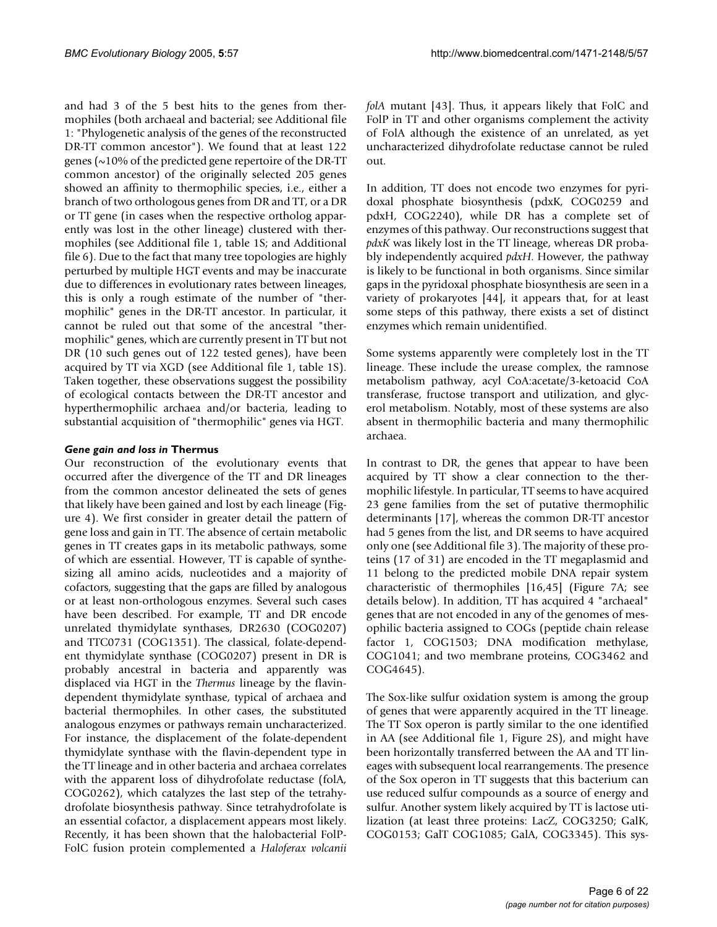and had 3 of the 5 best hits to the genes from thermophiles (both archaeal and bacterial; see Additional file 1: "Phylogenetic analysis of the genes of the reconstructed DR-TT common ancestor"). We found that at least 122 genes ( $\sim$ 10% of the predicted gene repertoire of the DR-TT common ancestor) of the originally selected 205 genes showed an affinity to thermophilic species, i.e., either a branch of two orthologous genes from DR and TT, or a DR or TT gene (in cases when the respective ortholog apparently was lost in the other lineage) clustered with thermophiles (see Additional file 1, table 1S; and Additional file 6). Due to the fact that many tree topologies are highly perturbed by multiple HGT events and may be inaccurate due to differences in evolutionary rates between lineages, this is only a rough estimate of the number of "thermophilic" genes in the DR-TT ancestor. In particular, it cannot be ruled out that some of the ancestral "thermophilic" genes, which are currently present in TT but not DR (10 such genes out of 122 tested genes), have been acquired by TT via XGD (see Additional file 1, table 1S). Taken together, these observations suggest the possibility of ecological contacts between the DR-TT ancestor and hyperthermophilic archaea and/or bacteria, leading to substantial acquisition of "thermophilic" genes via HGT.

## *Gene gain and loss in* **Thermus**

Our reconstruction of the evolutionary events that occurred after the divergence of the TT and DR lineages from the common ancestor delineated the sets of genes that likely have been gained and lost by each lineage (Figure 4). We first consider in greater detail the pattern of gene loss and gain in TT. The absence of certain metabolic genes in TT creates gaps in its metabolic pathways, some of which are essential. However, TT is capable of synthesizing all amino acids, nucleotides and a majority of cofactors, suggesting that the gaps are filled by analogous or at least non-orthologous enzymes. Several such cases have been described. For example, TT and DR encode unrelated thymidylate synthases, DR2630 (COG0207) and TTC0731 (COG1351). The classical, folate-dependent thymidylate synthase (COG0207) present in DR is probably ancestral in bacteria and apparently was displaced via HGT in the *Thermus* lineage by the flavindependent thymidylate synthase, typical of archaea and bacterial thermophiles. In other cases, the substituted analogous enzymes or pathways remain uncharacterized. For instance, the displacement of the folate-dependent thymidylate synthase with the flavin-dependent type in the TT lineage and in other bacteria and archaea correlates with the apparent loss of dihydrofolate reductase (folA, COG0262), which catalyzes the last step of the tetrahydrofolate biosynthesis pathway. Since tetrahydrofolate is an essential cofactor, a displacement appears most likely. Recently, it has been shown that the halobacterial FolP-FolC fusion protein complemented a *Haloferax volcanii* *folA* mutant [43]. Thus, it appears likely that FolC and FolP in TT and other organisms complement the activity of FolA although the existence of an unrelated, as yet uncharacterized dihydrofolate reductase cannot be ruled out.

In addition, TT does not encode two enzymes for pyridoxal phosphate biosynthesis (pdxK, COG0259 and pdxH, COG2240), while DR has a complete set of enzymes of this pathway. Our reconstructions suggest that *pdxK* was likely lost in the TT lineage, whereas DR probably independently acquired *pdxH*. However, the pathway is likely to be functional in both organisms. Since similar gaps in the pyridoxal phosphate biosynthesis are seen in a variety of prokaryotes [44], it appears that, for at least some steps of this pathway, there exists a set of distinct enzymes which remain unidentified.

Some systems apparently were completely lost in the TT lineage. These include the urease complex, the ramnose metabolism pathway, acyl CoA:acetate/3-ketoacid CoA transferase, fructose transport and utilization, and glycerol metabolism. Notably, most of these systems are also absent in thermophilic bacteria and many thermophilic archaea.

In contrast to DR, the genes that appear to have been acquired by TT show a clear connection to the thermophilic lifestyle. In particular, TT seems to have acquired 23 gene families from the set of putative thermophilic determinants [17], whereas the common DR-TT ancestor had 5 genes from the list, and DR seems to have acquired only one (see Additional file 3). The majority of these proteins (17 of 31) are encoded in the TT megaplasmid and 11 belong to the predicted mobile DNA repair system characteristic of thermophiles [16,45] (Figure [7](#page-6-0)A; see details below). In addition, TT has acquired 4 "archaeal" genes that are not encoded in any of the genomes of mesophilic bacteria assigned to COGs (peptide chain release factor 1, COG1503; DNA modification methylase, COG1041; and two membrane proteins, COG3462 and COG4645).

The Sox-like sulfur oxidation system is among the group of genes that were apparently acquired in the TT lineage. The TT Sox operon is partly similar to the one identified in AA (see Additional file 1, Figure 2S), and might have been horizontally transferred between the AA and TT lineages with subsequent local rearrangements. The presence of the Sox operon in TT suggests that this bacterium can use reduced sulfur compounds as a source of energy and sulfur. Another system likely acquired by TT is lactose utilization (at least three proteins: LacZ, COG3250; GalK, COG0153; GalT COG1085; GalA, COG3345). This sys-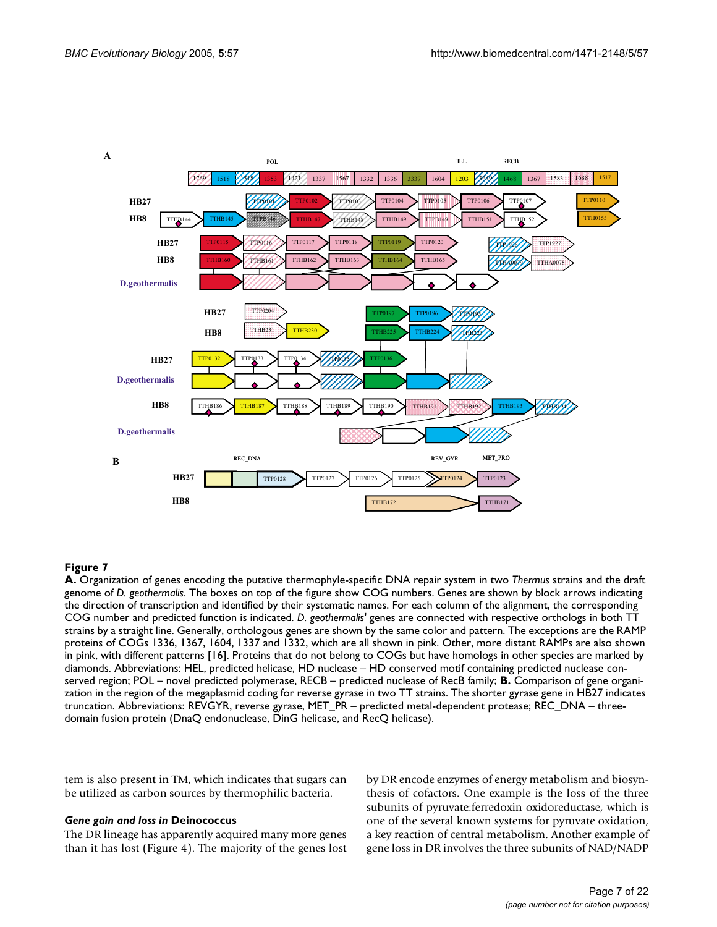<span id="page-6-0"></span>

## **A.** genome of **Figure 7** Organization of genes encoding the putative th *D. geothermalis* ermophyle-specific DNA repair system in two *Thermus* strains and the draft

**A.** Organization of genes encoding the putative thermophyle-specific DNA repair system in two *Thermus* strains and the draft genome of *D. geothermalis*. The boxes on top of the figure show COG numbers. Genes are shown by block arrows indicating the direction of transcription and identified by their systematic names. For each column of the alignment, the corresponding COG number and predicted function is indicated. *D. geothermalis'* genes are connected with respective orthologs in both TT strains by a straight line. Generally, orthologous genes are shown by the same color and pattern. The exceptions are the RAMP proteins of COGs 1336, 1367, 1604, 1337 and 1332, which are all shown in pink. Other, more distant RAMPs are also shown in pink, with different patterns [16]. Proteins that do not belong to COGs but have homologs in other species are marked by diamonds. Abbreviations: HEL, predicted helicase, HD nuclease – HD conserved motif containing predicted nuclease conserved region; POL – novel predicted polymerase, RECB – predicted nuclease of RecB family; **B.** Comparison of gene organization in the region of the megaplasmid coding for reverse gyrase in two TT strains. The shorter gyrase gene in HB27 indicates truncation. Abbreviations: REVGYR, reverse gyrase, MET\_PR – predicted metal-dependent protease; REC\_DNA – threedomain fusion protein (DnaQ endonuclease, DinG helicase, and RecQ helicase).

tem is also present in TM, which indicates that sugars can be utilized as carbon sources by thermophilic bacteria.

## *Gene gain and loss in* **Deinococcus**

The DR lineage has apparently acquired many more genes than it has lost (Figure 4). The majority of the genes lost by DR encode enzymes of energy metabolism and biosynthesis of cofactors. One example is the loss of the three subunits of pyruvate:ferredoxin oxidoreductase, which is one of the several known systems for pyruvate oxidation, a key reaction of central metabolism. Another example of gene loss in DR involves the three subunits of NAD/NADP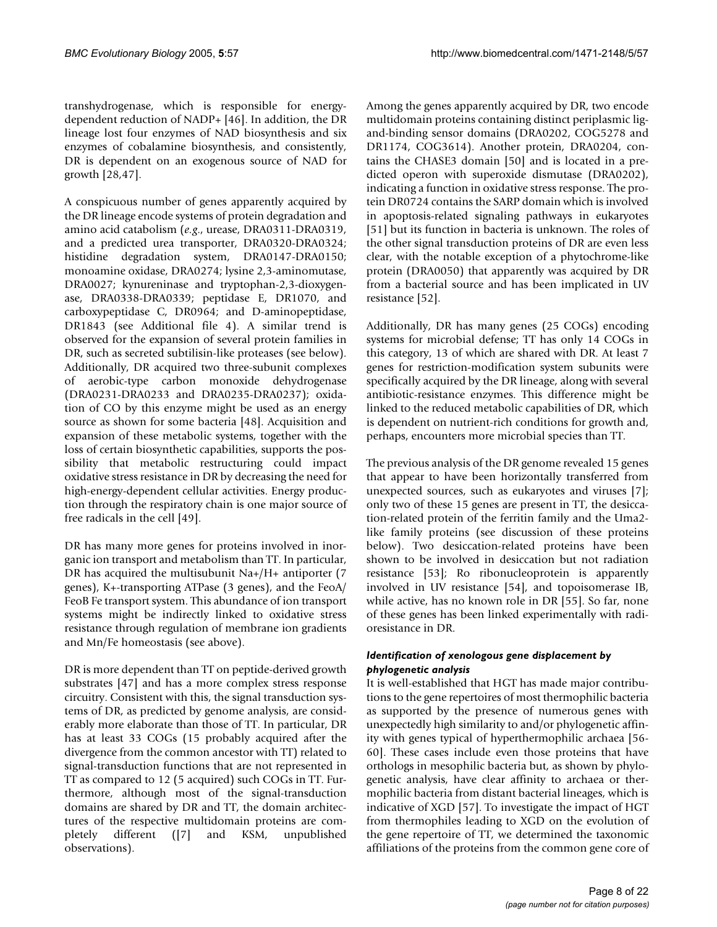transhydrogenase, which is responsible for energydependent reduction of NADP+ [46]. In addition, the DR lineage lost four enzymes of NAD biosynthesis and six enzymes of cobalamine biosynthesis, and consistently, DR is dependent on an exogenous source of NAD for growth [28,47].

A conspicuous number of genes apparently acquired by the DR lineage encode systems of protein degradation and amino acid catabolism (*e.g*., urease, DRA0311-DRA0319, and a predicted urea transporter, DRA0320-DRA0324; histidine degradation system, DRA0147-DRA0150; monoamine oxidase, DRA0274; lysine 2,3-aminomutase, DRA0027; kynureninase and tryptophan-2,3-dioxygenase, DRA0338-DRA0339; peptidase E, DR1070, and carboxypeptidase C, DR0964; and D-aminopeptidase, DR1843 (see Additional file 4). A similar trend is observed for the expansion of several protein families in DR, such as secreted subtilisin-like proteases (see below). Additionally, DR acquired two three-subunit complexes of aerobic-type carbon monoxide dehydrogenase (DRA0231-DRA0233 and DRA0235-DRA0237); oxidation of CO by this enzyme might be used as an energy source as shown for some bacteria [48]. Acquisition and expansion of these metabolic systems, together with the loss of certain biosynthetic capabilities, supports the possibility that metabolic restructuring could impact oxidative stress resistance in DR by decreasing the need for high-energy-dependent cellular activities. Energy production through the respiratory chain is one major source of free radicals in the cell [49].

DR has many more genes for proteins involved in inorganic ion transport and metabolism than TT. In particular, DR has acquired the multisubunit Na+/H+ antiporter (7 genes), K+-transporting ATPase (3 genes), and the FeoA/ FeoB Fe transport system. This abundance of ion transport systems might be indirectly linked to oxidative stress resistance through regulation of membrane ion gradients and Mn/Fe homeostasis (see above).

DR is more dependent than TT on peptide-derived growth substrates [47] and has a more complex stress response circuitry. Consistent with this, the signal transduction systems of DR, as predicted by genome analysis, are considerably more elaborate than those of TT. In particular, DR has at least 33 COGs (15 probably acquired after the divergence from the common ancestor with TT) related to signal-transduction functions that are not represented in TT as compared to 12 (5 acquired) such COGs in TT. Furthermore, although most of the signal-transduction domains are shared by DR and TT, the domain architectures of the respective multidomain proteins are completely different ([7] and KSM, unpublished observations).

Among the genes apparently acquired by DR, two encode multidomain proteins containing distinct periplasmic ligand-binding sensor domains (DRA0202, COG5278 and DR1174, COG3614). Another protein, DRA0204, contains the CHASE3 domain [50] and is located in a predicted operon with superoxide dismutase (DRA0202), indicating a function in oxidative stress response. The protein DR0724 contains the SARP domain which is involved in apoptosis-related signaling pathways in eukaryotes [51] but its function in bacteria is unknown. The roles of the other signal transduction proteins of DR are even less clear, with the notable exception of a phytochrome-like protein (DRA0050) that apparently was acquired by DR from a bacterial source and has been implicated in UV resistance [52].

Additionally, DR has many genes (25 COGs) encoding systems for microbial defense; TT has only 14 COGs in this category, 13 of which are shared with DR. At least 7 genes for restriction-modification system subunits were specifically acquired by the DR lineage, along with several antibiotic-resistance enzymes. This difference might be linked to the reduced metabolic capabilities of DR, which is dependent on nutrient-rich conditions for growth and, perhaps, encounters more microbial species than TT.

The previous analysis of the DR genome revealed 15 genes that appear to have been horizontally transferred from unexpected sources, such as eukaryotes and viruses [7]; only two of these 15 genes are present in TT, the desiccation-related protein of the ferritin family and the Uma2 like family proteins (see discussion of these proteins below). Two desiccation-related proteins have been shown to be involved in desiccation but not radiation resistance [53]; Ro ribonucleoprotein is apparently involved in UV resistance [54], and topoisomerase IB, while active, has no known role in DR [55]. So far, none of these genes has been linked experimentally with radioresistance in DR.

## *Identification of xenologous gene displacement by phylogenetic analysis*

It is well-established that HGT has made major contributions to the gene repertoires of most thermophilic bacteria as supported by the presence of numerous genes with unexpectedly high similarity to and/or phylogenetic affinity with genes typical of hyperthermophilic archaea [56- 60]. These cases include even those proteins that have orthologs in mesophilic bacteria but, as shown by phylogenetic analysis, have clear affinity to archaea or thermophilic bacteria from distant bacterial lineages, which is indicative of XGD [57]. To investigate the impact of HGT from thermophiles leading to XGD on the evolution of the gene repertoire of TT, we determined the taxonomic affiliations of the proteins from the common gene core of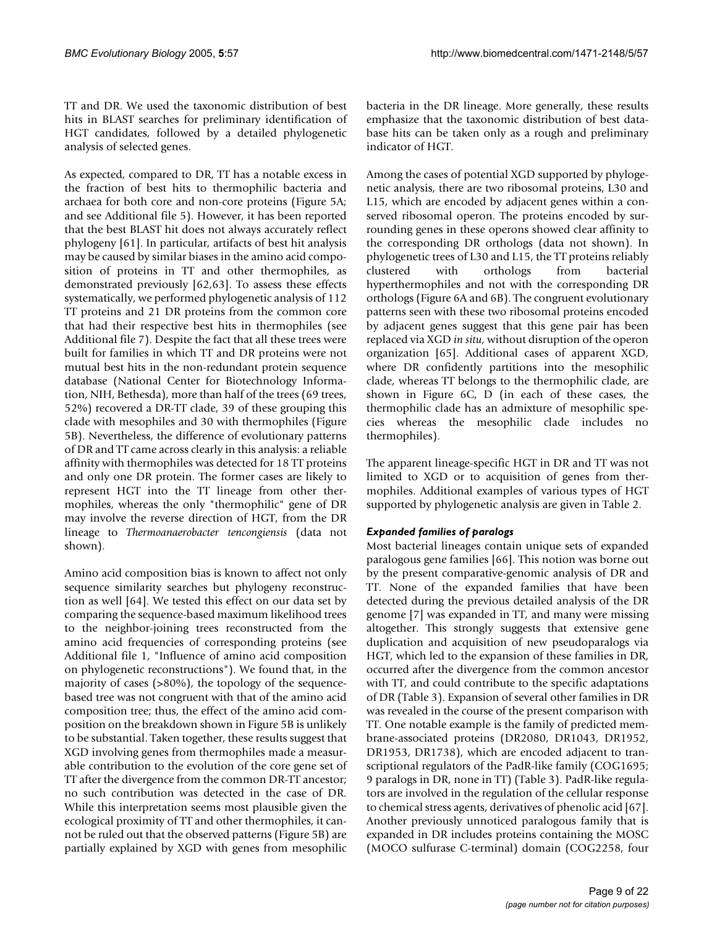TT and DR. We used the taxonomic distribution of best hits in BLAST searches for preliminary identification of HGT candidates, followed by a detailed phylogenetic analysis of selected genes.

As expected, compared to DR, TT has a notable excess in the fraction of best hits to thermophilic bacteria and archaea for both core and non-core proteins (Figure 5A; and see Additional file 5). However, it has been reported that the best BLAST hit does not always accurately reflect phylogeny [61]. In particular, artifacts of best hit analysis may be caused by similar biases in the amino acid composition of proteins in TT and other thermophiles, as demonstrated previously [62,63]. To assess these effects systematically, we performed phylogenetic analysis of 112 TT proteins and 21 DR proteins from the common core that had their respective best hits in thermophiles (see Additional file 7). Despite the fact that all these trees were built for families in which TT and DR proteins were not mutual best hits in the non-redundant protein sequence database (National Center for Biotechnology Information, NIH, Bethesda), more than half of the trees (69 trees, 52%) recovered a DR-TT clade, 39 of these grouping this clade with mesophiles and 30 with thermophiles (Figure 5B). Nevertheless, the difference of evolutionary patterns of DR and TT came across clearly in this analysis: a reliable affinity with thermophiles was detected for 18 TT proteins and only one DR protein. The former cases are likely to represent HGT into the TT lineage from other thermophiles, whereas the only "thermophilic" gene of DR may involve the reverse direction of HGT, from the DR lineage to *Thermoanaerobacter tencongiensis* (data not shown).

Amino acid composition bias is known to affect not only sequence similarity searches but phylogeny reconstruction as well [64]. We tested this effect on our data set by comparing the sequence-based maximum likelihood trees to the neighbor-joining trees reconstructed from the amino acid frequencies of corresponding proteins (see Additional file 1, "Influence of amino acid composition on phylogenetic reconstructions"). We found that, in the majority of cases (>80%), the topology of the sequencebased tree was not congruent with that of the amino acid composition tree; thus, the effect of the amino acid composition on the breakdown shown in Figure 5B is unlikely to be substantial. Taken together, these results suggest that XGD involving genes from thermophiles made a measurable contribution to the evolution of the core gene set of TT after the divergence from the common DR-TT ancestor; no such contribution was detected in the case of DR. While this interpretation seems most plausible given the ecological proximity of TT and other thermophiles, it cannot be ruled out that the observed patterns (Figure 5B) are partially explained by XGD with genes from mesophilic

bacteria in the DR lineage. More generally, these results emphasize that the taxonomic distribution of best database hits can be taken only as a rough and preliminary indicator of HGT.

Among the cases of potential XGD supported by phylogenetic analysis, there are two ribosomal proteins, L30 and L15, which are encoded by adjacent genes within a conserved ribosomal operon. The proteins encoded by surrounding genes in these operons showed clear affinity to the corresponding DR orthologs (data not shown). In phylogenetic trees of L30 and L15, the TT proteins reliably clustered with orthologs from bacterial hyperthermophiles and not with the corresponding DR orthologs (Figure [6A](#page-10-0) and [6](#page-10-0)B). The congruent evolutionary patterns seen with these two ribosomal proteins encoded by adjacent genes suggest that this gene pair has been replaced via XGD *in situ*, without disruption of the operon organization [65]. Additional cases of apparent XGD, where DR confidently partitions into the mesophilic clade, whereas TT belongs to the thermophilic clade, are shown in Figure [6](#page-10-0)C, D (in each of these cases, the thermophilic clade has an admixture of mesophilic species whereas the mesophilic clade includes no thermophiles).

The apparent lineage-specific HGT in DR and TT was not limited to XGD or to acquisition of genes from thermophiles. Additional examples of various types of HGT supported by phylogenetic analysis are given in Table [2.](#page-11-0)

## *Expanded families of paralogs*

Most bacterial lineages contain unique sets of expanded paralogous gene families [66]. This notion was borne out by the present comparative-genomic analysis of DR and TT. None of the expanded families that have been detected during the previous detailed analysis of the DR genome [7] was expanded in TT, and many were missing altogether. This strongly suggests that extensive gene duplication and acquisition of new pseudoparalogs via HGT, which led to the expansion of these families in DR, occurred after the divergence from the common ancestor with TT, and could contribute to the specific adaptations of DR (Table [3\)](#page-12-0). Expansion of several other families in DR was revealed in the course of the present comparison with TT. One notable example is the family of predicted membrane-associated proteins (DR2080, DR1043, DR1952, DR1953, DR1738), which are encoded adjacent to transcriptional regulators of the PadR-like family (COG1695; 9 paralogs in DR, none in TT) (Table [3\)](#page-12-0). PadR-like regulators are involved in the regulation of the cellular response to chemical stress agents, derivatives of phenolic acid [67]. Another previously unnoticed paralogous family that is expanded in DR includes proteins containing the MOSC (MOCO sulfurase C-terminal) domain (COG2258, four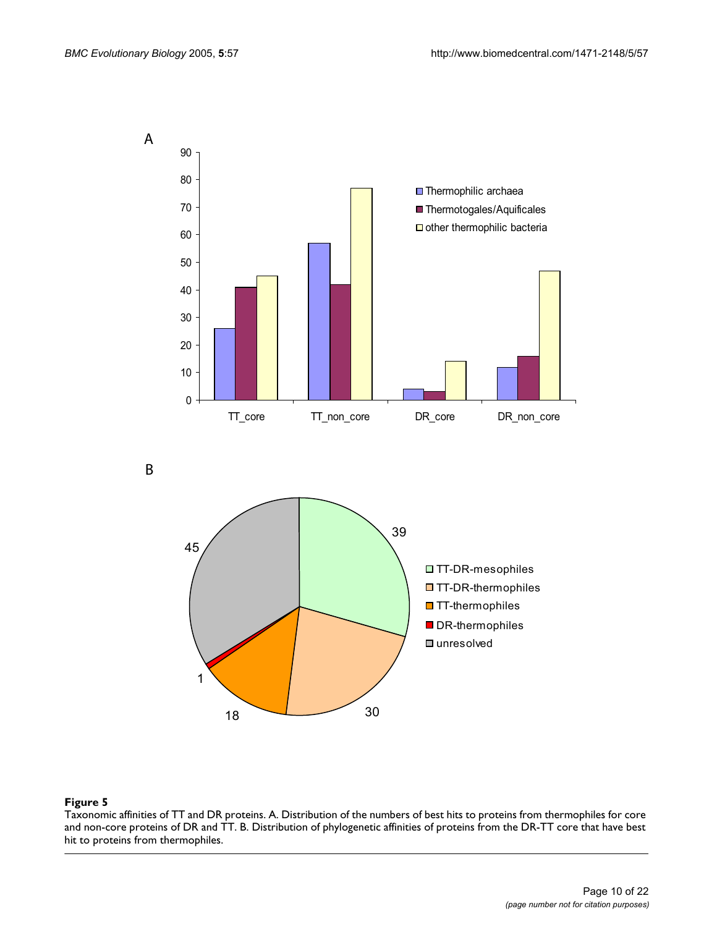

B



## Figure 5

Taxonomic affinities of TT and DR proteins. A. Distribution of the numbers of best hits to proteins from thermophiles for core and non-core proteins of DR and TT. B. Distribution of phylogenetic affinities of proteins from the DR-TT core that have best hit to proteins from thermophiles.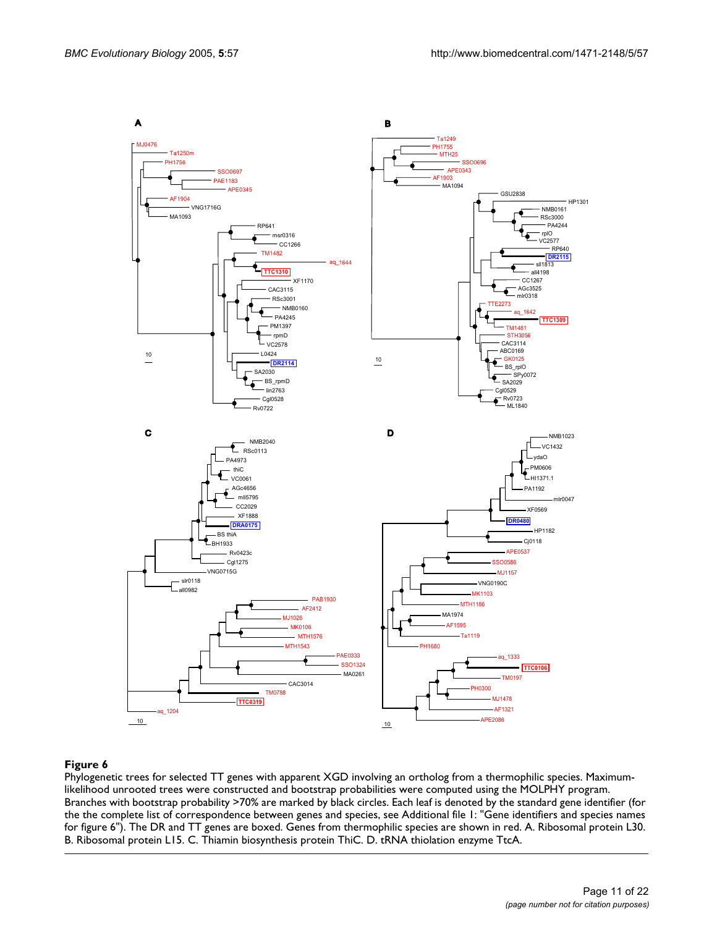<span id="page-10-0"></span>

## Phylogenetic trees for selected TT gene **Figure 6** s with apparent XGD involving an ortholog from a thermophilic species

Phylogenetic trees for selected TT genes with apparent XGD involving an ortholog from a thermophilic species. Maximumlikelihood unrooted trees were constructed and bootstrap probabilities were computed using the MOLPHY program. Branches with bootstrap probability >70% are marked by black circles. Each leaf is denoted by the standard gene identifier (for the the complete list of correspondence between genes and species, see Additional file 1: "Gene identifiers and species names for figure 6"). The DR and TT genes are boxed. Genes from thermophilic species are shown in red. A. Ribosomal protein L30. B. Ribosomal protein L15. C. Thiamin biosynthesis protein ThiC. D. tRNA thiolation enzyme TtcA.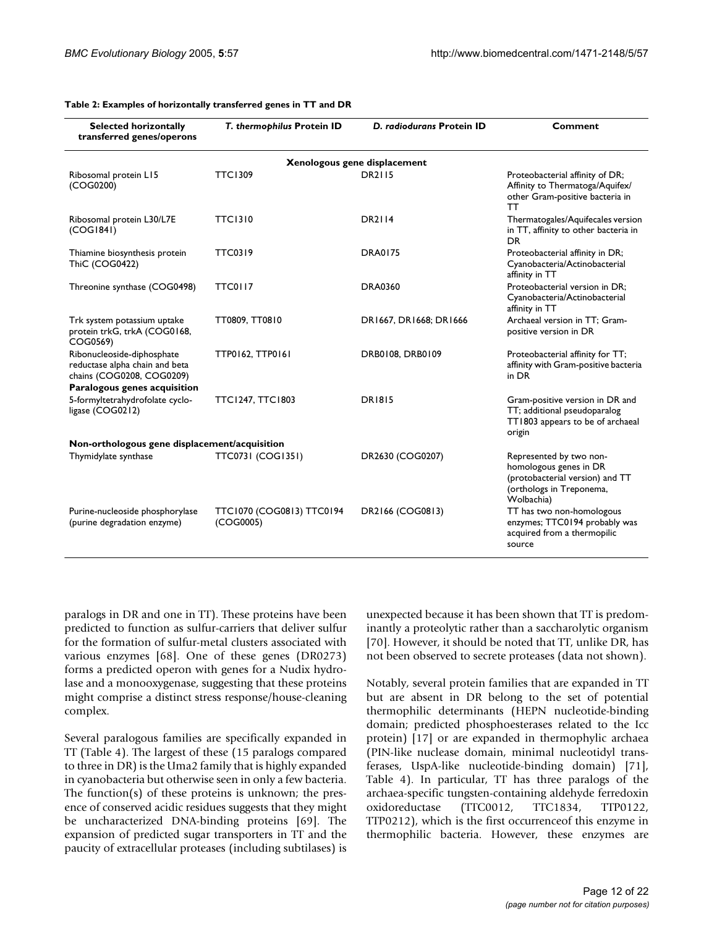| <b>Selected horizontally</b><br>transferred genes/operons                                 | T. thermophilus Protein ID             | D. radiodurans Protein ID    | Comment                                                                                                                        |
|-------------------------------------------------------------------------------------------|----------------------------------------|------------------------------|--------------------------------------------------------------------------------------------------------------------------------|
|                                                                                           |                                        | Xenologous gene displacement |                                                                                                                                |
| Ribosomal protein L15<br>(COG0200)                                                        | <b>TTC1309</b>                         | <b>DR2115</b>                | Proteobacterial affinity of DR;<br>Affinity to Thermatoga/Aquifex/<br>other Gram-positive bacteria in<br>тт                    |
| Ribosomal protein L30/L7E<br>(COG1841)                                                    | <b>TTC1310</b>                         | <b>DR2114</b>                | Thermatogales/Aquifecales version<br>in TT, affinity to other bacteria in<br><b>DR</b>                                         |
| Thiamine biosynthesis protein<br><b>ThiC (COG0422)</b>                                    | <b>TTC0319</b>                         | <b>DRA0175</b>               | Proteobacterial affinity in DR;<br>Cyanobacteria/Actinobacterial<br>affinity in TT                                             |
| Threonine synthase (COG0498)                                                              | TTC0117                                | <b>DRA0360</b>               | Proteobacterial version in DR;<br>Cyanobacteria/Actinobacterial<br>affinity in TT                                              |
| Trk system potassium uptake<br>protein trkG, trkA (COG0168,<br>COG0569)                   | TT0809, TT0810                         | DR1667, DR1668; DR1666       | Archaeal version in TT; Gram-<br>positive version in DR                                                                        |
| Ribonucleoside-diphosphate<br>reductase alpha chain and beta<br>chains (COG0208, COG0209) | TTP0162, TTP0161                       | DRB0108, DRB0109             | Proteobacterial affinity for TT;<br>affinity with Gram-positive bacteria<br>in DR                                              |
| Paralogous genes acquisition                                                              |                                        |                              |                                                                                                                                |
| 5-formyltetrahydrofolate cyclo-<br>ligase (COG0212)                                       | <b>TTC1247, TTC1803</b>                | <b>DR1815</b>                | Gram-positive version in DR and<br>TT; additional pseudoparalog<br>TT1803 appears to be of archaeal<br>origin                  |
| Non-orthologous gene displacement/acquisition                                             |                                        |                              |                                                                                                                                |
| Thymidylate synthase                                                                      | TTC0731 (COG1351)                      | DR2630 (COG0207)             | Represented by two non-<br>homologous genes in DR<br>(protobacterial version) and TT<br>(orthologs in Treponema,<br>Wolbachia) |
| Purine-nucleoside phosphorylase<br>(purine degradation enzyme)                            | TTC1070 (COG0813) TTC0194<br>(COG0005) | DR2166 (COG0813)             | TT has two non-homologous<br>enzymes; TTC0194 probably was<br>acquired from a thermopilic<br>source                            |

<span id="page-11-0"></span>**Table 2: Examples of horizontally transferred genes in TT and DR**

paralogs in DR and one in TT). These proteins have been predicted to function as sulfur-carriers that deliver sulfur for the formation of sulfur-metal clusters associated with various enzymes [68]. One of these genes (DR0273) forms a predicted operon with genes for a Nudix hydrolase and a monooxygenase, suggesting that these proteins might comprise a distinct stress response/house-cleaning complex.

Several paralogous families are specifically expanded in TT (Table [4\)](#page-13-0). The largest of these (15 paralogs compared to three in DR) is the Uma2 family that is highly expanded in cyanobacteria but otherwise seen in only a few bacteria. The function(s) of these proteins is unknown; the presence of conserved acidic residues suggests that they might be uncharacterized DNA-binding proteins [69]. The expansion of predicted sugar transporters in TT and the paucity of extracellular proteases (including subtilases) is unexpected because it has been shown that TT is predominantly a proteolytic rather than a saccharolytic organism [70]. However, it should be noted that TT, unlike DR, has not been observed to secrete proteases (data not shown).

Notably, several protein families that are expanded in TT but are absent in DR belong to the set of potential thermophilic determinants (HEPN nucleotide-binding domain; predicted phosphoesterases related to the Icc protein) [17] or are expanded in thermophylic archaea (PIN-like nuclease domain, minimal nucleotidyl transferases, UspA-like nucleotide-binding domain) [71], Table [4](#page-13-0)). In particular, TT has three paralogs of the archaea-specific tungsten-containing aldehyde ferredoxin oxidoreductase (TTC0012, TTC1834, TTP0122, TTP0212), which is the first occurrenceof this enzyme in thermophilic bacteria. However, these enzymes are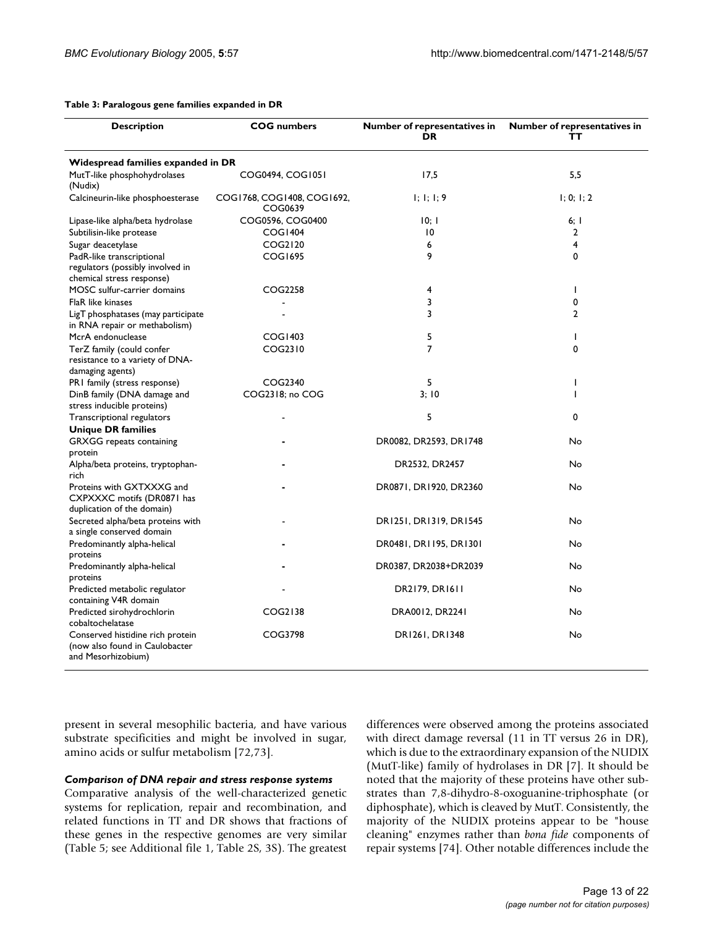#### <span id="page-12-0"></span>**Table 3: Paralogous gene families expanded in DR**

| <b>Description</b>                                                                           | <b>COG</b> numbers                    | Number of representatives in<br><b>DR</b>     | Number of representatives in<br>тт |
|----------------------------------------------------------------------------------------------|---------------------------------------|-----------------------------------------------|------------------------------------|
| Widespread families expanded in DR                                                           |                                       |                                               |                                    |
| MutT-like phosphohydrolases<br>(Nudix)                                                       | COG0494, COG1051                      | 17,5                                          | 5,5                                |
| Calcineurin-like phosphoesterase                                                             | COG1768, COG1408, COG1692,<br>COG0639 | $\vert \cdot \vert$ ; $\vert \cdot \vert$ ; 9 | 1; 0; 1; 2                         |
| Lipase-like alpha/beta hydrolase                                                             | COG0596, COG0400                      | 10; 1                                         | $6;$ 1                             |
| Subtilisin-like protease                                                                     | COG1404                               | $\overline{10}$                               | $\overline{2}$                     |
| Sugar deacetylase                                                                            | COG2120                               | 6                                             | 4                                  |
| PadR-like transcriptional<br>regulators (possibly involved in<br>chemical stress response)   | <b>COG1695</b>                        | 9                                             | 0                                  |
| MOSC sulfur-carrier domains                                                                  | COG2258                               | 4                                             | ı                                  |
| FlaR like kinases                                                                            |                                       | 3                                             | 0                                  |
| LigT phosphatases (may participate<br>in RNA repair or methabolism)                          |                                       | 3                                             | $\overline{2}$                     |
| McrA endonuclease                                                                            | COG1403                               | 5                                             | I                                  |
| TerZ family (could confer<br>resistance to a variety of DNA-<br>damaging agents)             | COG2310                               | $\overline{7}$                                | 0                                  |
| PRI family (stress response)                                                                 | COG2340                               | 5                                             | I                                  |
| DinB family (DNA damage and<br>stress inducible proteins)                                    | COG2318; no COG                       | 3:10                                          | I                                  |
| Transcriptional regulators<br><b>Unique DR families</b>                                      |                                       | 5                                             | 0                                  |
| <b>GRXGG</b> repeats containing<br>protein                                                   |                                       | DR0082, DR2593, DR1748                        | No                                 |
| Alpha/beta proteins, tryptophan-<br>rich                                                     |                                       | DR2532, DR2457                                | No                                 |
| Proteins with GXTXXXG and<br>CXPXXXC motifs (DR0871 has                                      |                                       | DR0871, DR1920, DR2360                        | No                                 |
| duplication of the domain)<br>Secreted alpha/beta proteins with<br>a single conserved domain |                                       | DR1251, DR1319, DR1545                        | No                                 |
| Predominantly alpha-helical<br>proteins                                                      |                                       | DR0481, DR1195, DR1301                        | No                                 |
| Predominantly alpha-helical<br>proteins                                                      |                                       | DR0387, DR2038+DR2039                         | No                                 |
| Predicted metabolic regulator<br>containing V4R domain                                       |                                       | DR2179, DR1611                                | No                                 |
| Predicted sirohydrochlorin<br>cobaltochelatase                                               | COG2138                               | DRA0012, DR2241                               | No                                 |
| Conserved histidine rich protein<br>(now also found in Caulobacter<br>and Mesorhizobium)     | COG3798                               | DR1261, DR1348                                | No                                 |

present in several mesophilic bacteria, and have various substrate specificities and might be involved in sugar, amino acids or sulfur metabolism [72,73].

### *Comparison of DNA repair and stress response systems*

Comparative analysis of the well-characterized genetic systems for replication, repair and recombination, and related functions in TT and DR shows that fractions of these genes in the respective genomes are very similar (Table 5; see Additional file 1, Table 2S, 3S). The greatest

differences were observed among the proteins associated with direct damage reversal (11 in TT versus 26 in DR), which is due to the extraordinary expansion of the NUDIX (MutT-like) family of hydrolases in DR [7]. It should be noted that the majority of these proteins have other substrates than 7,8-dihydro-8-oxoguanine-triphosphate (or diphosphate), which is cleaved by MutT. Consistently, the majority of the NUDIX proteins appear to be "house cleaning" enzymes rather than *bona fide* components of repair systems [74]. Other notable differences include the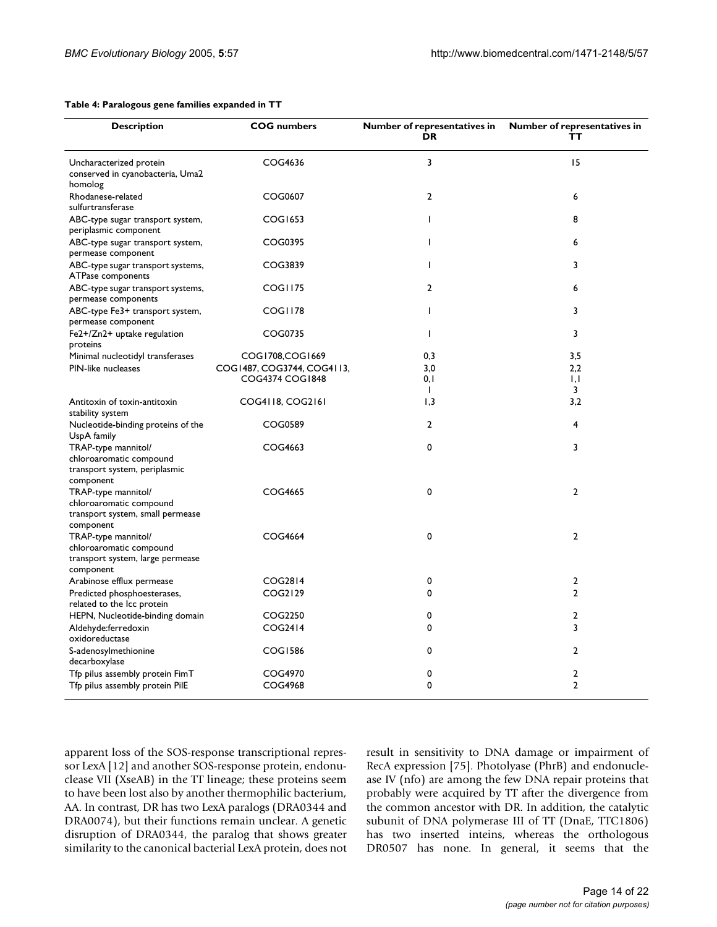<span id="page-13-0"></span>

| <b>Description</b>                                                                              | <b>COG</b> numbers                            | Number of representatives in<br>DR | Number of representatives in<br>тт |
|-------------------------------------------------------------------------------------------------|-----------------------------------------------|------------------------------------|------------------------------------|
| Uncharacterized protein<br>conserved in cyanobacteria, Uma2<br>homolog                          | COG4636                                       | 3                                  | 15                                 |
| Rhodanese-related<br>sulfurtransferase                                                          | COG0607                                       | $\boldsymbol{2}$                   | 6                                  |
| ABC-type sugar transport system,<br>periplasmic component                                       | COG1653                                       | T                                  | 8                                  |
| ABC-type sugar transport system,<br>permease component                                          | COG0395                                       | T                                  | 6                                  |
| ABC-type sugar transport systems,<br>ATPase components                                          | COG3839                                       | T                                  | 3                                  |
| ABC-type sugar transport systems,<br>permease components                                        | COGI175                                       | $\overline{2}$                     | 6                                  |
| ABC-type Fe3+ transport system,<br>permease component                                           | COGI178                                       | T                                  | 3                                  |
| Fe2+/Zn2+ uptake regulation<br>proteins                                                         | COG0735                                       | T                                  | 3                                  |
| Minimal nucleotidyl transferases                                                                | COG1708, COG1669                              | 0,3                                | 3,5                                |
| PIN-like nucleases                                                                              | COG1487, COG3744, COG4113,<br>COG4374 COG1848 | 3.0<br>0,1<br>$\mathbf{L}$         | 2,2<br>1,1<br>3                    |
| Antitoxin of toxin-antitoxin<br>stability system                                                | COG4118, COG2161                              | 1,3                                | 3,2                                |
| Nucleotide-binding proteins of the<br>UspA family                                               | COG0589                                       | $\overline{2}$                     | 4                                  |
| TRAP-type mannitol/<br>chloroaromatic compound<br>transport system, periplasmic<br>component    | COG4663                                       | 0                                  | 3                                  |
| TRAP-type mannitol/<br>chloroaromatic compound<br>transport system, small permease<br>component | COG4665                                       | 0                                  | $\overline{2}$                     |
| TRAP-type mannitol/<br>chloroaromatic compound<br>transport system, large permease<br>component | COG4664                                       | 0                                  | $\overline{2}$                     |
| Arabinose efflux permease                                                                       | COG2814                                       | 0                                  | $\overline{2}$                     |
| Predicted phosphoesterases,<br>related to the Icc protein                                       | COG2129                                       | $\mathbf 0$                        | $\overline{2}$                     |
| HEPN, Nucleotide-binding domain                                                                 | COG2250                                       | 0                                  | $\overline{2}$                     |
| Aldehyde:ferredoxin<br>oxidoreductase                                                           | COG2414                                       | $\mathbf 0$                        | 3                                  |
| S-adenosylmethionine<br>decarboxylase                                                           | COG1586                                       | $\mathbf 0$                        | $\overline{2}$                     |
| Tfp pilus assembly protein FimT                                                                 | COG4970                                       | 0                                  | 2                                  |
| Tfp pilus assembly protein PilE                                                                 | COG4968                                       | 0                                  | $\overline{2}$                     |

apparent loss of the SOS-response transcriptional repressor LexA [12] and another SOS-response protein, endonuclease VII (XseAB) in the TT lineage; these proteins seem to have been lost also by another thermophilic bacterium, AA. In contrast, DR has two LexA paralogs (DRA0344 and DRA0074), but their functions remain unclear. A genetic disruption of DRA0344, the paralog that shows greater similarity to the canonical bacterial LexA protein, does not result in sensitivity to DNA damage or impairment of RecA expression [75]. Photolyase (PhrB) and endonuclease IV (nfo) are among the few DNA repair proteins that probably were acquired by TT after the divergence from the common ancestor with DR. In addition, the catalytic subunit of DNA polymerase III of TT (DnaE, TTC1806) has two inserted inteins, whereas the orthologous DR0507 has none. In general, it seems that the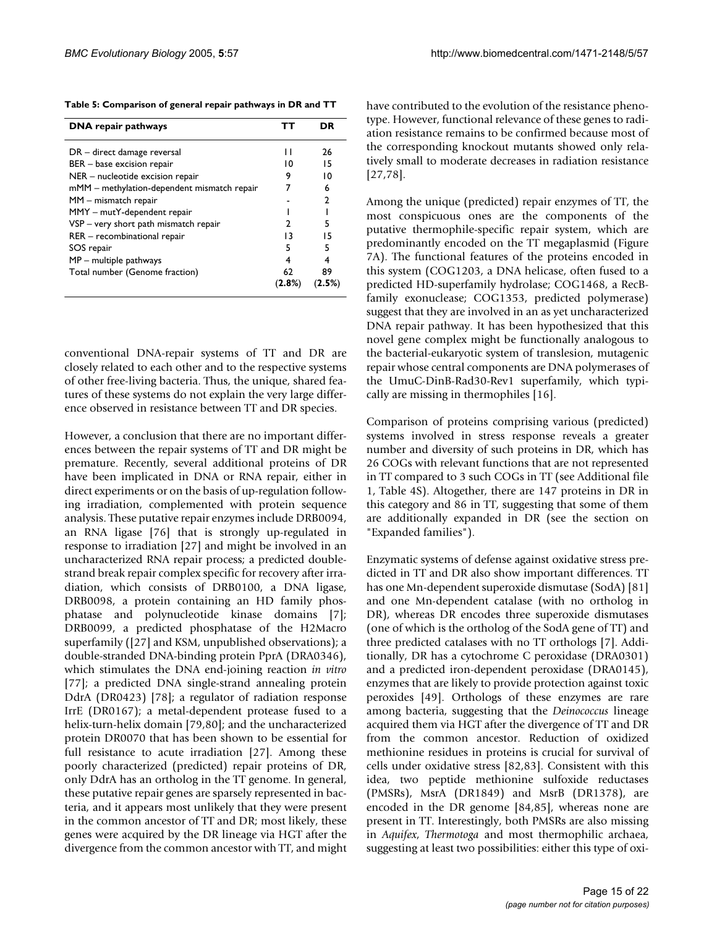**Table 5: Comparison of general repair pathways in DR and TT**

| <b>DNA</b> repair pathways                  |           | DR |
|---------------------------------------------|-----------|----|
| DR – direct damage reversal                 | п         | 26 |
| BER - base excision repair                  | 10        | 15 |
| NER - nucleotide excision repair            | 9         | 10 |
| mMM - methylation-dependent mismatch repair |           | 6  |
| MM - mismatch repair                        |           | 2  |
| MMY - mutY-dependent repair                 |           |    |
| VSP – very short path mismatch repair       | 2         | 5  |
| RER - recombinational repair                | 13        | 15 |
| SOS repair                                  | 5         | 5  |
| $MP$ – multiple pathways                    | 4         | 4  |
| Total number (Genome fraction)              | 62        | 89 |
|                                             | $(2.8\%)$ |    |

conventional DNA-repair systems of TT and DR are closely related to each other and to the respective systems of other free-living bacteria. Thus, the unique, shared features of these systems do not explain the very large difference observed in resistance between TT and DR species.

However, a conclusion that there are no important differences between the repair systems of TT and DR might be premature. Recently, several additional proteins of DR have been implicated in DNA or RNA repair, either in direct experiments or on the basis of up-regulation following irradiation, complemented with protein sequence analysis. These putative repair enzymes include DRB0094, an RNA ligase [76] that is strongly up-regulated in response to irradiation [27] and might be involved in an uncharacterized RNA repair process; a predicted doublestrand break repair complex specific for recovery after irradiation, which consists of DRB0100, a DNA ligase, DRB0098, a protein containing an HD family phosphatase and polynucleotide kinase domains [7]; DRB0099, a predicted phosphatase of the H2Macro superfamily ([27] and KSM, unpublished observations); a double-stranded DNA-binding protein PprA (DRA0346), which stimulates the DNA end-joining reaction *in vitro* [77]; a predicted DNA single-strand annealing protein DdrA (DR0423) [78]; a regulator of radiation response IrrE (DR0167); a metal-dependent protease fused to a helix-turn-helix domain [79,80]; and the uncharacterized protein DR0070 that has been shown to be essential for full resistance to acute irradiation [27]. Among these poorly characterized (predicted) repair proteins of DR, only DdrA has an ortholog in the TT genome. In general, these putative repair genes are sparsely represented in bacteria, and it appears most unlikely that they were present in the common ancestor of TT and DR; most likely, these genes were acquired by the DR lineage via HGT after the divergence from the common ancestor with TT, and might have contributed to the evolution of the resistance phenotype. However, functional relevance of these genes to radiation resistance remains to be confirmed because most of the corresponding knockout mutants showed only relatively small to moderate decreases in radiation resistance [27,78].

Among the unique (predicted) repair enzymes of TT, the most conspicuous ones are the components of the putative thermophile-specific repair system, which are predominantly encoded on the TT megaplasmid (Figure [7](#page-6-0)A). The functional features of the proteins encoded in this system (COG1203, a DNA helicase, often fused to a predicted HD-superfamily hydrolase; COG1468, a RecBfamily exonuclease; COG1353, predicted polymerase) suggest that they are involved in an as yet uncharacterized DNA repair pathway. It has been hypothesized that this novel gene complex might be functionally analogous to the bacterial-eukaryotic system of translesion, mutagenic repair whose central components are DNA polymerases of the UmuC-DinB-Rad30-Rev1 superfamily, which typically are missing in thermophiles [16].

Comparison of proteins comprising various (predicted) systems involved in stress response reveals a greater number and diversity of such proteins in DR, which has 26 COGs with relevant functions that are not represented in TT compared to 3 such COGs in TT (see Additional file 1, Table 4S). Altogether, there are 147 proteins in DR in this category and 86 in TT, suggesting that some of them are additionally expanded in DR (see the section on "Expanded families").

Enzymatic systems of defense against oxidative stress predicted in TT and DR also show important differences. TT has one Mn-dependent superoxide dismutase (SodA) [81] and one Mn-dependent catalase (with no ortholog in DR), whereas DR encodes three superoxide dismutases (one of which is the ortholog of the SodA gene of TT) and three predicted catalases with no TT orthologs [7]. Additionally, DR has a cytochrome C peroxidase (DRA0301) and a predicted iron-dependent peroxidase (DRA0145), enzymes that are likely to provide protection against toxic peroxides [49]. Orthologs of these enzymes are rare among bacteria, suggesting that the *Deinococcus* lineage acquired them via HGT after the divergence of TT and DR from the common ancestor. Reduction of oxidized methionine residues in proteins is crucial for survival of cells under oxidative stress [82,83]. Consistent with this idea, two peptide methionine sulfoxide reductases (PMSRs), MsrA (DR1849) and MsrB (DR1378), are encoded in the DR genome [84,85], whereas none are present in TT. Interestingly, both PMSRs are also missing in *Aquifex*, *Thermotoga* and most thermophilic archaea, suggesting at least two possibilities: either this type of oxi-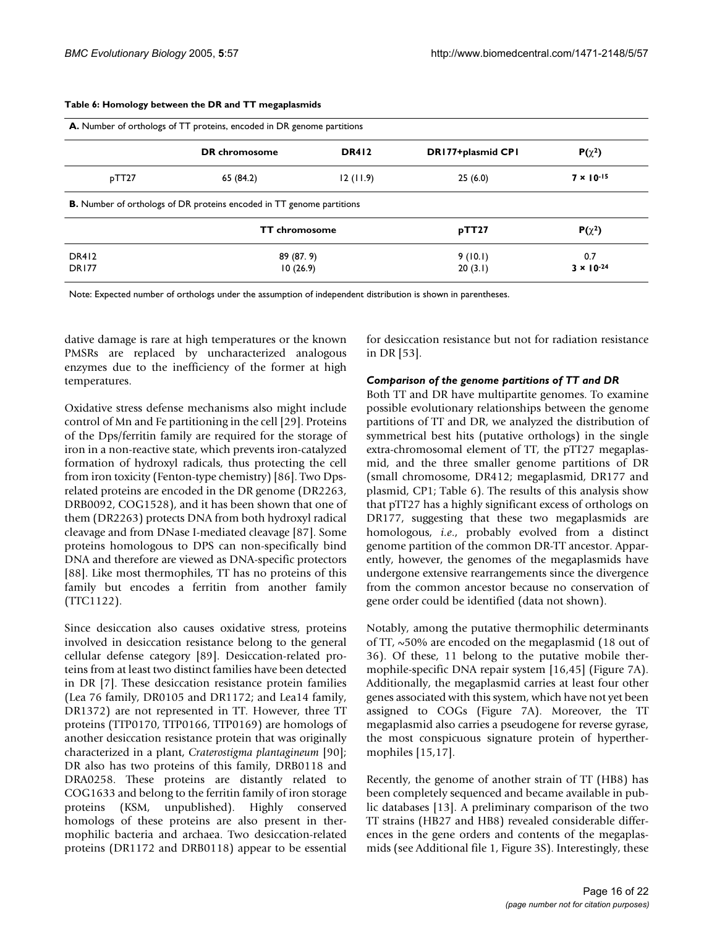|       | DR chromosome                                                                | <b>DR412</b> | DR177+plasmid CP1 | $P(\chi^2)$         |
|-------|------------------------------------------------------------------------------|--------------|-------------------|---------------------|
| pTT27 | 65 (84.2)                                                                    | 12(11.9)     | 25(6.0)           | $7 \times 10^{-15}$ |
|       |                                                                              |              |                   |                     |
|       | <b>B.</b> Number of orthologs of DR proteins encoded in TT genome partitions |              |                   |                     |
|       | <b>TT</b> chromosome                                                         |              | pTT27             | $P(\chi^2)$         |
| DR412 | 89 (87.9)                                                                    |              | 9(10.1)           | 0.7                 |

#### **Table 6: Homology between the DR and TT megaplasmids**

Note: Expected number of orthologs under the assumption of independent distribution is shown in parentheses.

dative damage is rare at high temperatures or the known PMSRs are replaced by uncharacterized analogous enzymes due to the inefficiency of the former at high temperatures.

Oxidative stress defense mechanisms also might include control of Mn and Fe partitioning in the cell [29]. Proteins of the Dps/ferritin family are required for the storage of iron in a non-reactive state, which prevents iron-catalyzed formation of hydroxyl radicals, thus protecting the cell from iron toxicity (Fenton-type chemistry) [86]. Two Dpsrelated proteins are encoded in the DR genome (DR2263, DRB0092, COG1528), and it has been shown that one of them (DR2263) protects DNA from both hydroxyl radical cleavage and from DNase I-mediated cleavage [87]. Some proteins homologous to DPS can non-specifically bind DNA and therefore are viewed as DNA-specific protectors [88]. Like most thermophiles, TT has no proteins of this family but encodes a ferritin from another family (TTC1122).

Since desiccation also causes oxidative stress, proteins involved in desiccation resistance belong to the general cellular defense category [89]. Desiccation-related proteins from at least two distinct families have been detected in DR [7]. These desiccation resistance protein families (Lea 76 family, DR0105 and DR1172; and Lea14 family, DR1372) are not represented in TT. However, three TT proteins (TTP0170, TTP0166, TTP0169) are homologs of another desiccation resistance protein that was originally characterized in a plant, *Craterostigma plantagineum* [90]; DR also has two proteins of this family, DRB0118 and DRA0258. These proteins are distantly related to COG1633 and belong to the ferritin family of iron storage proteins (KSM, unpublished). Highly conserved homologs of these proteins are also present in thermophilic bacteria and archaea. Two desiccation-related proteins (DR1172 and DRB0118) appear to be essential

for desiccation resistance but not for radiation resistance in DR [53].

### *Comparison of the genome partitions of TT and DR*

Both TT and DR have multipartite genomes. To examine possible evolutionary relationships between the genome partitions of TT and DR, we analyzed the distribution of symmetrical best hits (putative orthologs) in the single extra-chromosomal element of TT, the pTT27 megaplasmid, and the three smaller genome partitions of DR (small chromosome, DR412; megaplasmid, DR177 and plasmid, CP1; Table 6). The results of this analysis show that pTT27 has a highly significant excess of orthologs on DR177, suggesting that these two megaplasmids are homologous, *i.e*., probably evolved from a distinct genome partition of the common DR-TT ancestor. Apparently, however, the genomes of the megaplasmids have undergone extensive rearrangements since the divergence from the common ancestor because no conservation of gene order could be identified (data not shown).

Notably, among the putative thermophilic determinants of TT, ~50% are encoded on the megaplasmid (18 out of 36). Of these, 11 belong to the putative mobile thermophile-specific DNA repair system [16,45] (Figure [7](#page-6-0)A). Additionally, the megaplasmid carries at least four other genes associated with this system, which have not yet been assigned to COGs (Figure [7A](#page-6-0)). Moreover, the TT megaplasmid also carries a pseudogene for reverse gyrase, the most conspicuous signature protein of hyperthermophiles [15,17].

Recently, the genome of another strain of TT (HB8) has been completely sequenced and became available in public databases [13]. A preliminary comparison of the two TT strains (HB27 and HB8) revealed considerable differences in the gene orders and contents of the megaplasmids (see Additional file 1, Figure 3S). Interestingly, these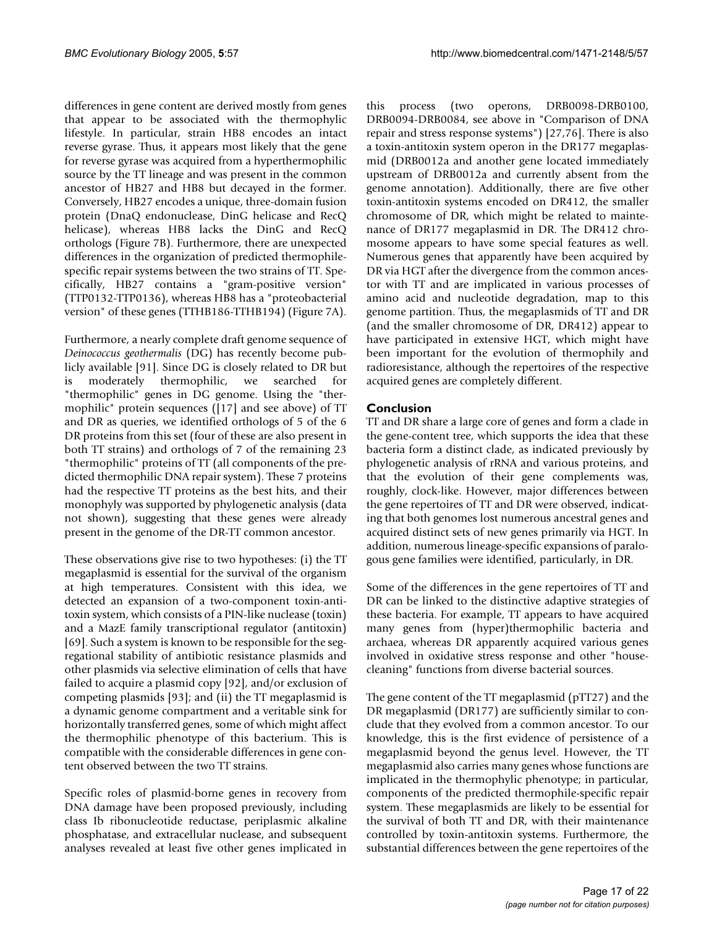differences in gene content are derived mostly from genes that appear to be associated with the thermophylic lifestyle. In particular, strain HB8 encodes an intact reverse gyrase. Thus, it appears most likely that the gene for reverse gyrase was acquired from a hyperthermophilic source by the TT lineage and was present in the common ancestor of HB27 and HB8 but decayed in the former. Conversely, HB27 encodes a unique, three-domain fusion protein (DnaQ endonuclease, DinG helicase and RecQ helicase), whereas HB8 lacks the DinG and RecQ orthologs (Figure [7](#page-6-0)B). Furthermore, there are unexpected differences in the organization of predicted thermophilespecific repair systems between the two strains of TT. Specifically, HB27 contains a "gram-positive version" (TTP0132-TTP0136), whereas HB8 has a "proteobacterial version" of these genes (TTHB186-TTHB194) (Figure [7](#page-6-0)A).

Furthermore, a nearly complete draft genome sequence of *Deinococcus geothermalis* (DG) has recently become publicly available [91]. Since DG is closely related to DR but is moderately thermophilic, we searched for "thermophilic" genes in DG genome. Using the "thermophilic" protein sequences ([17] and see above) of TT and DR as queries, we identified orthologs of 5 of the 6 DR proteins from this set (four of these are also present in both TT strains) and orthologs of 7 of the remaining 23 "thermophilic" proteins of TT (all components of the predicted thermophilic DNA repair system). These 7 proteins had the respective TT proteins as the best hits, and their monophyly was supported by phylogenetic analysis (data not shown), suggesting that these genes were already present in the genome of the DR-TT common ancestor.

These observations give rise to two hypotheses: (i) the TT megaplasmid is essential for the survival of the organism at high temperatures. Consistent with this idea, we detected an expansion of a two-component toxin-antitoxin system, which consists of a PIN-like nuclease (toxin) and a MazE family transcriptional regulator (antitoxin) [69]. Such a system is known to be responsible for the segregational stability of antibiotic resistance plasmids and other plasmids via selective elimination of cells that have failed to acquire a plasmid copy [92], and/or exclusion of competing plasmids [93]; and (ii) the TT megaplasmid is a dynamic genome compartment and a veritable sink for horizontally transferred genes, some of which might affect the thermophilic phenotype of this bacterium. This is compatible with the considerable differences in gene content observed between the two TT strains.

Specific roles of plasmid-borne genes in recovery from DNA damage have been proposed previously, including class Ib ribonucleotide reductase, periplasmic alkaline phosphatase, and extracellular nuclease, and subsequent analyses revealed at least five other genes implicated in this process (two operons, DRB0098-DRB0100, DRB0094-DRB0084, see above in "Comparison of DNA repair and stress response systems") [27,76]. There is also a toxin-antitoxin system operon in the DR177 megaplasmid (DRB0012a and another gene located immediately upstream of DRB0012a and currently absent from the genome annotation). Additionally, there are five other toxin-antitoxin systems encoded on DR412, the smaller chromosome of DR, which might be related to maintenance of DR177 megaplasmid in DR. The DR412 chromosome appears to have some special features as well. Numerous genes that apparently have been acquired by DR via HGT after the divergence from the common ancestor with TT and are implicated in various processes of amino acid and nucleotide degradation, map to this genome partition. Thus, the megaplasmids of TT and DR (and the smaller chromosome of DR, DR412) appear to have participated in extensive HGT, which might have been important for the evolution of thermophily and radioresistance, although the repertoires of the respective acquired genes are completely different.

## **Conclusion**

TT and DR share a large core of genes and form a clade in the gene-content tree, which supports the idea that these bacteria form a distinct clade, as indicated previously by phylogenetic analysis of rRNA and various proteins, and that the evolution of their gene complements was, roughly, clock-like. However, major differences between the gene repertoires of TT and DR were observed, indicating that both genomes lost numerous ancestral genes and acquired distinct sets of new genes primarily via HGT. In addition, numerous lineage-specific expansions of paralogous gene families were identified, particularly, in DR.

Some of the differences in the gene repertoires of TT and DR can be linked to the distinctive adaptive strategies of these bacteria. For example, TT appears to have acquired many genes from (hyper)thermophilic bacteria and archaea, whereas DR apparently acquired various genes involved in oxidative stress response and other "housecleaning" functions from diverse bacterial sources.

The gene content of the TT megaplasmid (pTT27) and the DR megaplasmid (DR177) are sufficiently similar to conclude that they evolved from a common ancestor. To our knowledge, this is the first evidence of persistence of a megaplasmid beyond the genus level. However, the TT megaplasmid also carries many genes whose functions are implicated in the thermophylic phenotype; in particular, components of the predicted thermophile-specific repair system. These megaplasmids are likely to be essential for the survival of both TT and DR, with their maintenance controlled by toxin-antitoxin systems. Furthermore, the substantial differences between the gene repertoires of the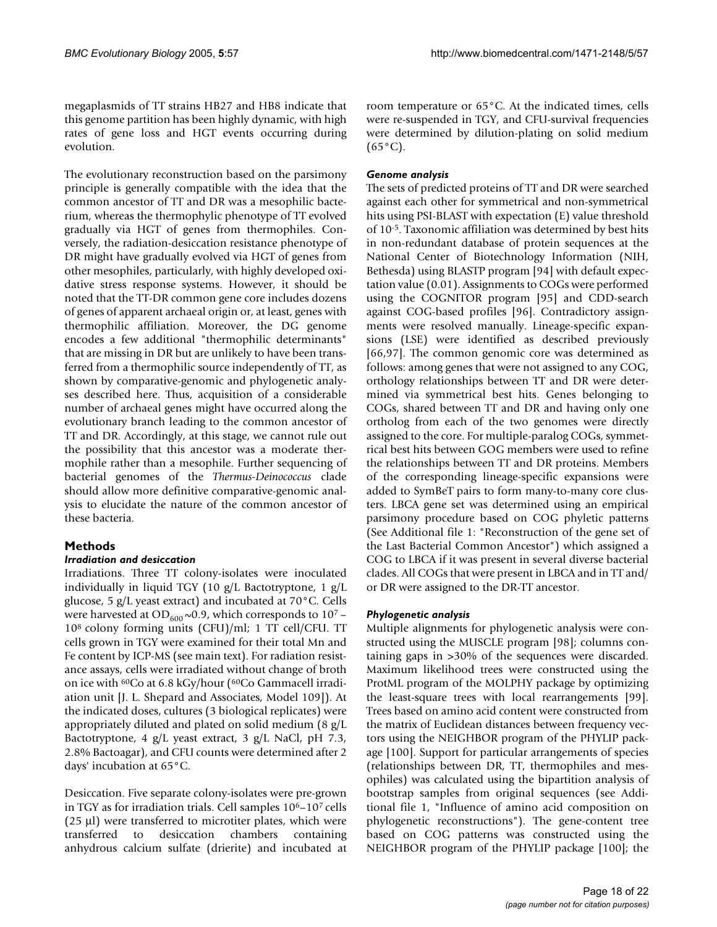megaplasmids of TT strains HB27 and HB8 indicate that this genome partition has been highly dynamic, with high rates of gene loss and HGT events occurring during evolution.

The evolutionary reconstruction based on the parsimony principle is generally compatible with the idea that the common ancestor of TT and DR was a mesophilic bacterium, whereas the thermophylic phenotype of TT evolved gradually via HGT of genes from thermophiles. Conversely, the radiation-desiccation resistance phenotype of DR might have gradually evolved via HGT of genes from other mesophiles, particularly, with highly developed oxidative stress response systems. However, it should be noted that the TT-DR common gene core includes dozens of genes of apparent archaeal origin or, at least, genes with thermophilic affiliation. Moreover, the DG genome encodes a few additional "thermophilic determinants" that are missing in DR but are unlikely to have been transferred from a thermophilic source independently of TT, as shown by comparative-genomic and phylogenetic analyses described here. Thus, acquisition of a considerable number of archaeal genes might have occurred along the evolutionary branch leading to the common ancestor of TT and DR. Accordingly, at this stage, we cannot rule out the possibility that this ancestor was a moderate thermophile rather than a mesophile. Further sequencing of bacterial genomes of the *Thermus-Deinococcus* clade should allow more definitive comparative-genomic analysis to elucidate the nature of the common ancestor of these bacteria.

## **Methods**

## *Irradiation and desiccation*

Irradiations. Three TT colony-isolates were inoculated individually in liquid TGY (10 g/L Bactotryptone, 1 g/L glucose, 5 g/L yeast extract) and incubated at 70°C. Cells were harvested at OD<sub>600</sub> $\sim$ 0.9, which corresponds to 10<sup>7</sup> – 108 colony forming units (CFU)/ml; 1 TT cell/CFU. TT cells grown in TGY were examined for their total Mn and Fe content by ICP-MS (see main text). For radiation resistance assays, cells were irradiated without change of broth on ice with 60Co at 6.8 kGy/hour (60Co Gammacell irradiation unit [J. L. Shepard and Associates, Model 109]). At the indicated doses, cultures (3 biological replicates) were appropriately diluted and plated on solid medium (8 g/L Bactotryptone, 4 g/L yeast extract, 3 g/L NaCl, pH 7.3, 2.8% Bactoagar), and CFU counts were determined after 2 days' incubation at 65°C.

Desiccation. Five separate colony-isolates were pre-grown in TGY as for irradiation trials. Cell samples 106–107 cells  $(25 \mu l)$  were transferred to microtiter plates, which were transferred to desiccation chambers containing anhydrous calcium sulfate (drierite) and incubated at room temperature or 65°C. At the indicated times, cells were re-suspended in TGY, and CFU-survival frequencies were determined by dilution-plating on solid medium  $(65^{\circ}C).$ 

## *Genome analysis*

The sets of predicted proteins of TT and DR were searched against each other for symmetrical and non-symmetrical hits using PSI-BLAST with expectation (E) value threshold of 10-5. Taxonomic affiliation was determined by best hits in non-redundant database of protein sequences at the National Center of Biotechnology Information (NIH, Bethesda) using BLASTP program [94] with default expectation value (0.01). Assignments to COGs were performed using the COGNITOR program [95] and CDD-search against COG-based profiles [96]. Contradictory assignments were resolved manually. Lineage-specific expansions (LSE) were identified as described previously [66,97]. The common genomic core was determined as follows: among genes that were not assigned to any COG, orthology relationships between TT and DR were determined via symmetrical best hits. Genes belonging to COGs, shared between TT and DR and having only one ortholog from each of the two genomes were directly assigned to the core. For multiple-paralog COGs, symmetrical best hits between GOG members were used to refine the relationships between TT and DR proteins. Members of the corresponding lineage-specific expansions were added to SymBeT pairs to form many-to-many core clusters. LBCA gene set was determined using an empirical parsimony procedure based on COG phyletic patterns (See Additional file 1: "Reconstruction of the gene set of the Last Bacterial Common Ancestor") which assigned a COG to LBCA if it was present in several diverse bacterial clades. All COGs that were present in LBCA and in TT and/ or DR were assigned to the DR-TT ancestor.

## *Phylogenetic analysis*

Multiple alignments for phylogenetic analysis were constructed using the MUSCLE program [98]; columns containing gaps in >30% of the sequences were discarded. Maximum likelihood trees were constructed using the ProtML program of the MOLPHY package by optimizing the least-square trees with local rearrangements [99]. Trees based on amino acid content were constructed from the matrix of Euclidean distances between frequency vectors using the NEIGHBOR program of the PHYLIP package [100]. Support for particular arrangements of species (relationships between DR, TT, thermophiles and mesophiles) was calculated using the bipartition analysis of bootstrap samples from original sequences (see Additional file 1, "Influence of amino acid composition on phylogenetic reconstructions"). The gene-content tree based on COG patterns was constructed using the NEIGHBOR program of the PHYLIP package [100]; the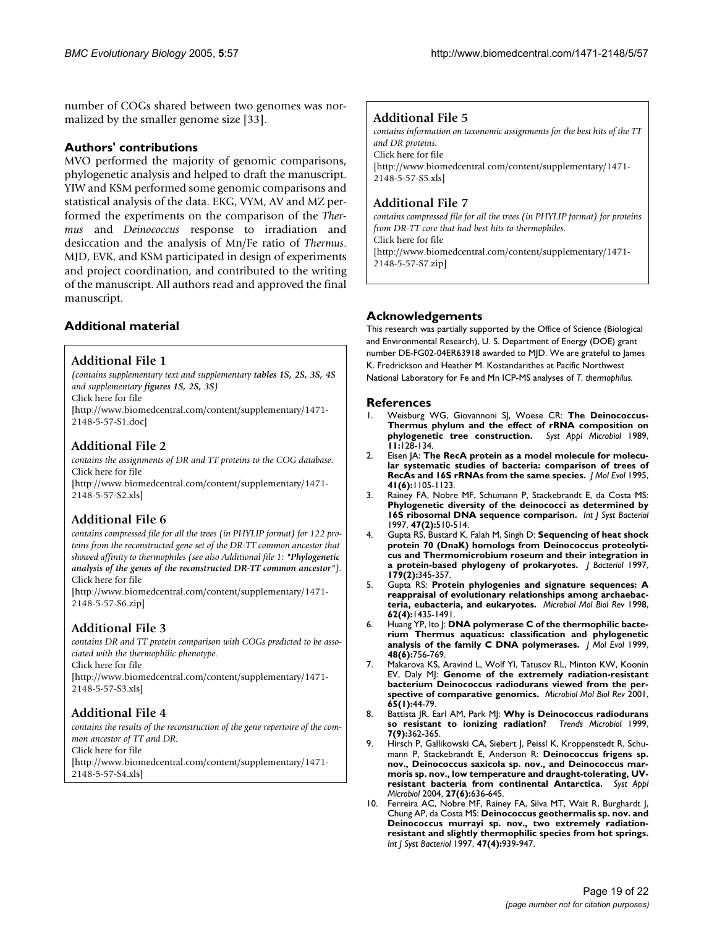number of COGs shared between two genomes was normalized by the smaller genome size [33].

## **Authors' contributions**

MVO performed the majority of genomic comparisons, phylogenetic analysis and helped to draft the manuscript. YIW and KSM performed some genomic comparisons and statistical analysis of the data. EKG, VYM, AV and MZ performed the experiments on the comparison of the *Thermus* and *Deinococcus* response to irradiation and desiccation and the analysis of Mn/Fe ratio of *Thermus*. MJD, EVK, and KSM participated in design of experiments and project coordination, and contributed to the writing of the manuscript. All authors read and approved the final manuscript.

## **Additional File 1**

*(contains supplementary text and supplementary tables 1S, 2S, 3S, 4S and supplementary figures 1S, 2S, 3S)* Click here for file

[\[http://www.biomedcentral.com/content/supplementary/1471-](http://www.biomedcentral.com/content/supplementary/1471-2148-5-57-S1.doc) 2148-5-57-S1.doc]

## **Additional File 2**

*contains the assignments of DR and TT proteins to the COG database.* Click here for file [\[http://www.biomedcentral.com/content/supplementary/1471-](http://www.biomedcentral.com/content/supplementary/1471-2148-5-57-S2.xls) 2148-5-57-S2.xls]

## **Additional File 6**

*contains compressed file for all the trees (in PHYLIP format) for 122 proteins from the reconstructed gene set of the DR-TT common ancestor that showed affinity to thermophiles (see also Additional file 1: "Phylogenetic analysis of the genes of the reconstructed DR-TT common ancestor").* Click here for file

[\[http://www.biomedcentral.com/content/supplementary/1471-](http://www.biomedcentral.com/content/supplementary/1471-2148-5-57-S6.zip) 2148-5-57-S6.zip]

## **Additional File 3**

*contains DR and TT protein comparison with COGs predicted to be associated with the thermophilic phenotype.* Click here for file [\[http://www.biomedcentral.com/content/supplementary/1471-](http://www.biomedcentral.com/content/supplementary/1471-2148-5-57-S3.xls) 2148-5-57-S3.xls]

## **Additional File 4**

*contains the results of the reconstruction of the gene repertoire of the common ancestor of TT and DR.* Click here for file [\[http://www.biomedcentral.com/content/supplementary/1471-](http://www.biomedcentral.com/content/supplementary/1471-2148-5-57-S4.xls) 2148-5-57-S4.xls]

## **Additional File 5**

*contains information on taxonomic assignments for the best hits of the TT and DR proteins.*

Click here for file [\[http://www.biomedcentral.com/content/supplementary/1471-](http://www.biomedcentral.com/content/supplementary/1471-2148-5-57-S5.xls) 2148-5-57-S5.xls]

## **Additional File 7**

*contains compressed file for all the trees (in PHYLIP format) for proteins from DR-TT core that had best hits to thermophiles.* Click here for file [\[http://www.biomedcentral.com/content/supplementary/1471-](http://www.biomedcentral.com/content/supplementary/1471-2148-5-57-S7.zip) 2148-5-57-S7.zip]

**Additional material Acknowledgements** This research was partially supported by the Office of Science (Biological and Environmental Research), U. S. Department of Energy (DOE) grant number DE-FG02-04ER63918 awarded to MJD. We are grateful to James K. Fredrickson and Heather M. Kostandarithes at Pacific Northwest National Laboratory for Fe and Mn ICP-MS analyses of *T. thermophilus.*

## **References**

- 1. Weisburg WG, Giovannoni SJ, Woese CR: **The Deinococcus-Thermus phylum and the effect of rRNA composition on phylogenetic tree construction.** *Syst Appl Microbiol* 1989, **11:**128-134.
- 2. Eisen JA: **The RecA protein as a model molecule for molecular systematic studies of bacteria: comparison of trees of RecAs and 16S rRNAs from the same species.** *J Mol Evol* 1995, **41(6):**1105-1123.
- 3. Rainey FA, Nobre MF, Schumann P, Stackebrandt E, da Costa MS: **Phylogenetic diversity of the deinococci as determined by 16S ribosomal DNA sequence comparison.** *Int J Syst Bacteriol* 1997, **47(2):**510-514.
- 4. Gupta RS, Bustard K, Falah M, Singh D: **Sequencing of heat shock protein 70 (DnaK) homologs from Deinococcus proteolyticus and Thermomicrobium roseum and their integration in a protein-based phylogeny of prokaryotes.** *J Bacteriol* 1997, **179(2):**345-357.
- 5. Gupta RS: **Protein phylogenies and signature sequences: A reappraisal of evolutionary relationships among archaebacteria, eubacteria, and eukaryotes.** *Microbiol Mol Biol Rev* 1998, **62(4):**1435-1491.
- 6. Huang YP, Ito J: **DNA polymerase C of the thermophilic bacterium Thermus aquaticus: classification and phylogenetic analysis of the family C DNA polymerases.** *J Mol Evol* 1999, **48(6):**756-769.
- 7. Makarova KS, Aravind L, Wolf YI, Tatusov RL, Minton KW, Koonin EV, Daly MJ: **Genome of the extremely radiation-resistant bacterium Deinococcus radiodurans viewed from the perspective of comparative genomics.** *Microbiol Mol Biol Rev* 2001, **65(1):**44-79.
- 8. Battista JR, Earl AM, Park MJ: **Why is Deinococcus radiodurans so resistant to ionizing radiation?** *Trends Microbiol* 1999, **7(9):**362-365.
- 9. Hirsch P, Gallikowski CA, Siebert J, Peissl K, Kroppenstedt R, Schumann P, Stackebrandt E, Anderson R: **Deinococcus frigens sp. nov., Deinococcus saxicola sp. nov., and Deinococcus marmoris sp. nov., low temperature and draught-tolerating, UVresistant bacteria from continental Antarctica.** *Syst Appl Microbiol* 2004, **27(6):**636-645.
- 10. Ferreira AC, Nobre MF, Rainey FA, Silva MT, Wait R, Burghardt J, Chung AP, da Costa MS: **Deinococcus geothermalis sp. nov. and Deinococcus murrayi sp. nov., two extremely radiationresistant and slightly thermophilic species from hot springs.** *Int J Syst Bacteriol* 1997, **47(4):**939-947.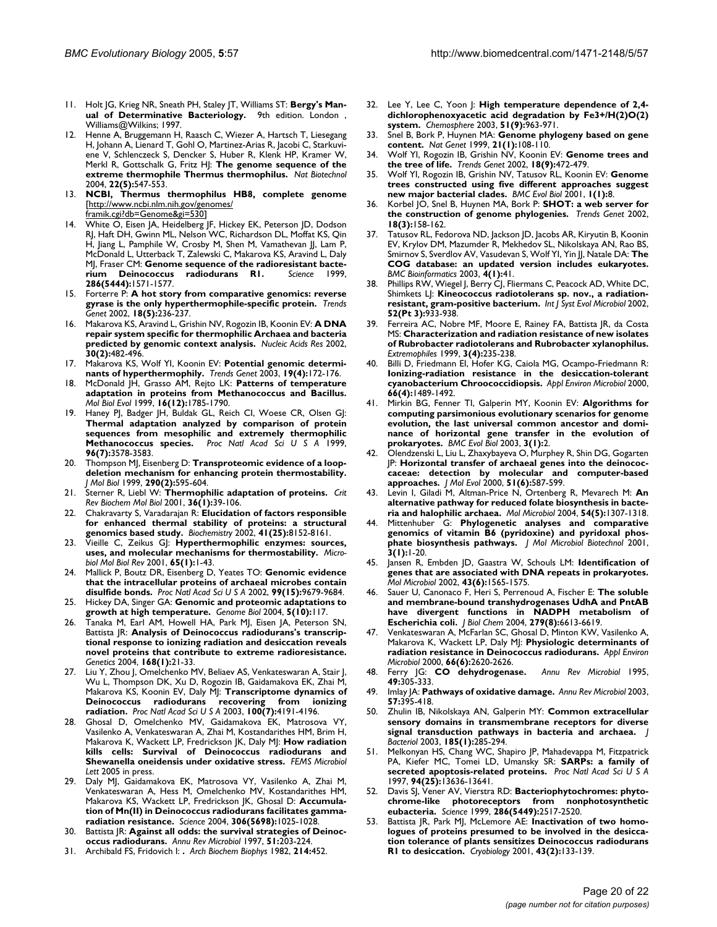- 11. Holt JG, Krieg NR, Sneath PH, Staley JT, Williams ST: **Bergy's Manual of Determinative Bacteriology.** 9th edition. London , Williams@Wilkins; 1997.
- 12. Henne A, Bruggemann H, Raasch C, Wiezer A, Hartsch T, Liesegang H, Johann A, Lienard T, Gohl O, Martinez-Arias R, Jacobi C, Starkuviene V, Schlenczeck S, Dencker S, Huber R, Klenk HP, Kramer W, Merkl R, Gottschalk G, Fritz HJ: **The genome sequence of the extreme thermophile Thermus thermophilus.** *Nat Biotechnol* 2004, **22(5):**547-553.
- 13. **NCBI, Thermus thermophilus HB8, complete genome** [[http://www.ncbi.nlm.nih.gov/genomes/](http://www.ncbi.nlm.nih.gov/genomes/framik.cgi?db=Genome&gi=530) [framik.cgi?db=Genome&gi=530](http://www.ncbi.nlm.nih.gov/genomes/framik.cgi?db=Genome&gi=530)]
- 14. White O, Eisen JA, Heidelberg JF, Hickey EK, Peterson JD, Dodson RJ, Haft DH, Gwinn ML, Nelson WC, Richardson DL, Moffat KS, Qin H, Jiang L, Pamphile W, Crosby M, Shen M, Vamathevan JJ, Lam P, McDonald L, Utterback T, Zalewski C, Makarova KS, Aravind L, Daly MJ, Fraser CM: **Genome sequence of the radioresistant bacte**rium Deinococcus radiodurans RI. **286(5444):**1571-1577.
- 15. Forterre P: **A hot story from comparative genomics: reverse gyrase is the only hyperthermophile-specific protein.** *Trends Genet* 2002, **18(5):**236-237.
- 16. Makarova KS, Aravind L, Grishin NV, Rogozin IB, Koonin EV: **A DNA repair system specific for thermophilic Archaea and bacteria predicted by genomic context analysis.** *Nucleic Acids Res* 2002, **30(2):**482-496.
- 17. Makarova KS, Wolf YI, Koonin EV: **Potential genomic determinants of hyperthermophily.** *Trends Genet* 2003, **19(4):**172-176.
- 18. McDonald JH, Grasso AM, Rejto LK: **Patterns of temperature adaptation in proteins from Methanococcus and Bacillus.** *Mol Biol Evol* 1999, **16(12):**1785-1790.
- 19. Haney PJ, Badger JH, Buldak GL, Reich CI, Woese CR, Olsen GJ: **Thermal adaptation analyzed by comparison of protein sequences from mesophilic and extremely thermophilic Methanococcus species.** *Proc Natl Acad Sci U S A* 1999, **96(7):**3578-3583.
- 20. Thompson MJ, Eisenberg D: **Transproteomic evidence of a loopdeletion mechanism for enhancing protein thermostability.** *J Mol Biol* 1999, **290(2):**595-604.
- 21. Sterner R, Liebl W: **Thermophilic adaptation of proteins.** *Crit Rev Biochem Mol Biol* 2001, **36(1):**39-106.
- 22. Chakravarty S, Varadarajan R: **Elucidation of factors responsible for enhanced thermal stability of proteins: a structural genomics based study.** *Biochemistry* 2002, **41(25):**8152-8161.
- 23. Vieille C, Zeikus GJ: **Hyperthermophilic enzymes: sources, uses, and molecular mechanisms for thermostability.** *Microbiol Mol Biol Rev* 2001, **65(1):**1-43.
- 24. Mallick P, Boutz DR, Eisenberg D, Yeates TO: **Genomic evidence that the intracellular proteins of archaeal microbes contain disulfide bonds.** *Proc Natl Acad Sci U S A* 2002, **99(15):**9679-9684.
- 25. Hickey DA, Singer GA: **Genomic and proteomic adaptations to growth at high temperature.** *Genome Biol* 2004, **5(10):**117.
- 26. Tanaka M, Earl AM, Howell HA, Park MJ, Eisen JA, Peterson SN, Battista JR: **Analysis of Deinococcus radiodurans's transcriptional response to ionizing radiation and desiccation reveals novel proteins that contribute to extreme radioresistance.** *Genetics* 2004, **168(1):**21-33.
- 27. Liu Y, Zhou J, Omelchenko MV, Beliaev AS, Venkateswaran A, Stair J, Wu L, Thompson DK, Xu D, Rogozin IB, Gaidamakova EK, Zhai M, Makarova KS, Koonin EV, Daly MJ: **Transcriptome dynamics of Deinococcus radiodurans recovering from ionizing radiation.** *Proc Natl Acad Sci U S A* 2003, **100(7):**4191-4196.
- 28. Ghosal D, Omelchenko MV, Gaidamakova EK, Matrosova VY, Vasilenko A, Venkateswaran A, Zhai M, Kostandarithes HM, Brim H, Makarova K, Wackett LP, Fredrickson JK, Daly MJ: **How radiation kills cells: Survival of Deinococcus radiodurans and Shewanella oneidensis under oxidative stress.** *FEMS Microbiol Lett* 2005 in press.
- 29. Daly MJ, Gaidamakova EK, Matrosova VY, Vasilenko A, Zhai M, Venkateswaran A, Hess M, Omelchenko MV, Kostandarithes HM, Makarova KS, Wackett LP, Fredrickson JK, Ghosal D: **Accumulation of Mn(II) in Deinococcus radiodurans facilitates gammaradiation resistance.** *Science* 2004, **306(5698):**1025-1028.
- 30. Battista JR: **Against all odds: the survival strategies of Deinococcus radiodurans.** *Annu Rev Microbiol* 1997, **51:**203-224.
- 31. Archibald FS, Fridovich I: **.** *Arch Biochem Biophys* 1982, **214:**452.
- 32. Lee Y, Lee C, Yoon J: **High temperature dependence of 2,4 dichlorophenoxyacetic acid degradation by Fe3+/H(2)O(2) system.** *Chemosphere* 2003, **51(9):**963-971.
- 33. Snel B, Bork P, Huynen MA: **Genome phylogeny based on gene content.** *Nat Genet* 1999, **21(1):**108-110.
- 34. Wolf YI, Rogozin IB, Grishin NV, Koonin EV: **Genome trees and the tree of life.** *Trends Genet* 2002, **18(9):**472-479.
- 35. Wolf YI, Rogozin IB, Grishin NV, Tatusov RL, Koonin EV: **Genome trees constructed using five different approaches suggest new major bacterial clades.** *BMC Evol Biol* 2001, **1(1):**8.
- 36. Korbel JO, Snel B, Huynen MA, Bork P: **SHOT: a web server for the construction of genome phylogenies.** *Trends Genet* 2002, **18(3):**158-162.
- 37. Tatusov RL, Fedorova ND, Jackson JD, Jacobs AR, Kiryutin B, Koonin EV, Krylov DM, Mazumder R, Mekhedov SL, Nikolskaya AN, Rao BS, Smirnov S, Sverdlov AV, Vasudevan S, Wolf YI, Yin JJ, Natale DA: **The COG database: an updated version includes eukaryotes.** *BMC Bioinformatics* 2003, **4(1):**41.
- 38. Phillips RW, Wiegel J, Berry CJ, Fliermans C, Peacock AD, White DC, Shimkets LJ: **Kineococcus radiotolerans sp. nov., a radiationresistant, gram-positive bacterium.** *Int J Syst Evol Microbiol* 2002, **52(Pt 3):**933-938.
- 39. Ferreira AC, Nobre MF, Moore E, Rainey FA, Battista JR, da Costa MS: **Characterization and radiation resistance of new isolates of Rubrobacter radiotolerans and Rubrobacter xylanophilus.** *Extremophiles* 1999, **3(4):**235-238.
- Billi D, Friedmann El, Hofer KG, Caiola MG, Ocampo-Friedmann R: **Ionizing-radiation resistance in the desiccation-tolerant cyanobacterium Chroococcidiopsis.** *Appl Environ Microbiol* 2000, **66(4):**1489-1492.
- 41. Mirkin BG, Fenner TI, Galperin MY, Koonin EV: **Algorithms for computing parsimonious evolutionary scenarios for genome evolution, the last universal common ancestor and dominance of horizontal gene transfer in the evolution of prokaryotes.** *BMC Evol Biol* 2003, **3(1):**2.
- 42. Olendzenski L, Liu L, Zhaxybayeva O, Murphey R, Shin DG, Gogarten JP: **Horizontal transfer of archaeal genes into the deinococcaceae: detection by molecular and computer-based approaches.** *J Mol Evol* 2000, **51(6):**587-599.
- 43. Levin I, Giladi M, Altman-Price N, Ortenberg R, Mevarech M: **An alternative pathway for reduced folate biosynthesis in bacteria and halophilic archaea.** *Mol Microbiol* 2004, **54(5):**1307-1318.
- 44. Mittenhuber G: **Phylogenetic analyses and comparative genomics of vitamin B6 (pyridoxine) and pyridoxal phosphate biosynthesis pathways.** *J Mol Microbiol Biotechnol* 2001, **3(1):**1-20.
- 45. Jansen R, Embden JD, Gaastra W, Schouls LM: **Identification of genes that are associated with DNA repeats in prokaryotes.** *Mol Microbiol* 2002, **43(6):**1565-1575.
- 46. Sauer U, Canonaco F, Heri S, Perrenoud A, Fischer E: **The soluble and membrane-bound transhydrogenases UdhA and PntAB have divergent functions in NADPH metabolism of Escherichia coli.** *J Biol Chem* 2004, **279(8):**6613-6619.
- 47. Venkateswaran A, McFarlan SC, Ghosal D, Minton KW, Vasilenko A, Makarova K, Wackett LP, Daly MJ: **Physiologic determinants of radiation resistance in Deinococcus radiodurans.** *Appl Environ Microbiol* 2000, **66(6):**2620-2626.
- 48. Ferry JG: **CO dehydrogenase.** *Annu Rev Microbiol* 1995, **49:**305-333.
- 49. Imlay JA: **Pathways of oxidative damage.** *Annu Rev Microbiol* 2003, **57:**395-418.
- 50. Zhulin IB, Nikolskaya AN, Galperin MY: **Common extracellular sensory domains in transmembrane receptors for diverse signal transduction pathways in bacteria and archaea.** *J Bacteriol* 2003, **185(1):**285-294.
- 51. Melkonyan HS, Chang WC, Shapiro JP, Mahadevappa M, Fitzpatrick PA, Kiefer MC, Tomei LD, Umansky SR: **SARPs: a family of secreted apoptosis-related proteins.** *Proc Natl Acad Sci U S A* 1997, **94(25):**13636-13641.
- 52. Davis SJ, Vener AV, Vierstra RD: **Bacteriophytochromes: phytochrome-like photoreceptors from nonphotosynthetic eubacteria.** *Science* 1999, **286(5449):**2517-2520.
- Battista JR, Park MJ, McLemore AE: **Inactivation of two homologues of proteins presumed to be involved in the desiccation tolerance of plants sensitizes Deinococcus radiodurans R1 to desiccation.** *Cryobiology* 2001, **43(2):**133-139.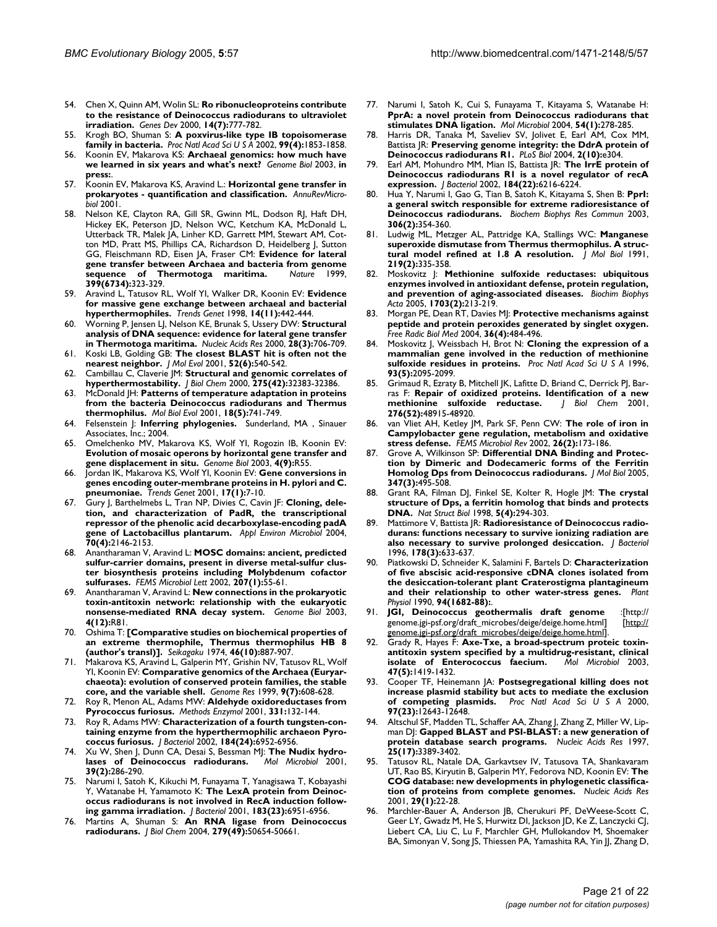- 54. Chen X, Quinn AM, Wolin SL: **Ro ribonucleoproteins contribute to the resistance of Deinococcus radiodurans to ultraviolet irradiation.** *Genes Dev* 2000, **14(7):**777-782.
- 55. Krogh BO, Shuman S: **A poxvirus-like type IB topoisomerase family in bacteria.** *Proc Natl Acad Sci U S A* 2002, **99(4):**1853-1858.
- 56. Koonin EV, Makarova KS: **Archaeal genomics: how much have we learned in six years and what's next?** *Genome Biol* 2003, **in press:**.
- 57. Koonin EV, Makarova KS, Aravind L.: **Horizontal gene transfer in prokaryotes - quantification and classification.** *AnnuRevMicrobiol* 2001.
- 58. Nelson KE, Clayton RA, Gill SR, Gwinn ML, Dodson RJ, Haft DH, Hickey EK, Peterson JD, Nelson WC, Ketchum KA, McDonald L, Utterback TR, Malek JA, Linher KD, Garrett MM, Stewart AM, Cotton MD, Pratt MS, Phillips CA, Richardson D, Heidelberg J, Sutton GG, Fleischmann RD, Eisen JA, Fraser CM: **Evidence for lateral gene transfer between Archaea and bacteria from genome** sequence of Thermotoga maritima. **399(6734):**323-329.
- 59. Aravind L, Tatusov RL, Wolf YI, Walker DR, Koonin EV: **Evidence for massive gene exchange between archaeal and bacterial hyperthermophiles.** *Trends Genet* 1998, **14(11):**442-444.
- 60. Worning P, Jensen LJ, Nelson KE, Brunak S, Ussery DW: **Structural analysis of DNA sequence: evidence for lateral gene transfer in Thermotoga maritima.** *Nucleic Acids Res* 2000, **28(3):**706-709.
- 61. Koski LB, Golding GB: **The closest BLAST hit is often not the nearest neighbor.** *J Mol Evol* 2001, **52(6):**540-542.
- 62. Cambillau C, Claverie JM: **Structural and genomic correlates of hyperthermostability.** *J Biol Chem* 2000, **275(42):**32383-32386.
- 63. McDonald JH: **Patterns of temperature adaptation in proteins from the bacteria Deinococcus radiodurans and Thermus thermophilus.** *Mol Biol Evol* 2001, **18(5):**741-749.
- 64. Felsenstein J: **Inferring phylogenies.** Sunderland, MA , Sinauer Associates, Inc.; 2004.
- 65. Omelchenko MV, Makarova KS, Wolf YI, Rogozin IB, Koonin EV: **Evolution of mosaic operons by horizontal gene transfer and gene displacement in situ.** *Genome Biol* 2003, **4(9):**R55.
- 66. Jordan IK, Makarova KS, Wolf YI, Koonin EV: **Gene conversions in genes encoding outer-membrane proteins in H. pylori and C. pneumoniae.** *Trends Genet* 2001, **17(1):**7-10.
- Gury J, Barthelmebs L, Tran NP, Divies C, Cavin JF: Cloning, dele**tion, and characterization of PadR, the transcriptional repressor of the phenolic acid decarboxylase-encoding padA gene of Lactobacillus plantarum.** *Appl Environ Microbiol* 2004, **70(4):**2146-2153.
- 68. Anantharaman V, Aravind L: **MOSC domains: ancient, predicted sulfur-carrier domains, present in diverse metal-sulfur cluster biosynthesis proteins including Molybdenum cofactor sulfurases.** *FEMS Microbiol Lett* 2002, **207(1):**55-61.
- 69. Anantharaman V, Aravind L: **New connections in the prokaryotic toxin-antitoxin network: relationship with the eukaryotic nonsense-mediated RNA decay system.** *Genome Biol* 2003, **4(12):**R81.
- 70. Oshima T: **[Comparative studies on biochemical properties of an extreme thermophile, Thermus thermophilus HB 8 (author's transl)].** *Seikagaku* 1974, **46(10):**887-907.
- 71. Makarova KS, Aravind L, Galperin MY, Grishin NV, Tatusov RL, Wolf YI, Koonin EV: **Comparative genomics of the Archaea (Euryarchaeota): evolution of conserved protein families, the stable core, and the variable shell.** *Genome Res* 1999, **9(7):**608-628.
- 72. Roy R, Menon AL, Adams MW: **Aldehyde oxidoreductases from Pyrococcus furiosus.** *Methods Enzymol* 2001, **331:**132-144.
- 73. Roy R, Adams MW: **Characterization of a fourth tungsten-containing enzyme from the hyperthermophilic archaeon Pyrococcus furiosus.** *J Bacteriol* 2002, **184(24):**6952-6956.
- 74. Xu W, Shen J, Dunn CA, Desai S, Bessman MJ: **The Nudix hydrolases of Deinococcus radiodurans.** *Mol Microbiol* 2001, **39(2):**286-290.
- 75. Narumi I, Satoh K, Kikuchi M, Funayama T, Yanagisawa T, Kobayashi Y, Watanabe H, Yamamoto K: **The LexA protein from Deinococcus radiodurans is not involved in RecA induction following gamma irradiation.** *J Bacteriol* 2001, **183(23):**6951-6956.
- 76. Martins A, Shuman S: **An RNA ligase from Deinococcus radiodurans.** *J Biol Chem* 2004, **279(49):**50654-50661.
- 77. Narumi I, Satoh K, Cui S, Funayama T, Kitayama S, Watanabe H: **PprA: a novel protein from Deinococcus radiodurans that stimulates DNA ligation.** *Mol Microbiol* 2004, **54(1):**278-285.
- 78. Harris DR, Tanaka M, Saveliev SV, Jolivet E, Earl AM, Cox MM, Battista JR: **Preserving genome integrity: the DdrA protein of Deinococcus radiodurans R1.** *PLoS Biol* 2004, **2(10):**e304.
- 79. Earl AM, Mohundro MM, Mian IS, Battista JR: **The IrrE protein of Deinococcus radiodurans R1 is a novel regulator of recA expression.** *J Bacteriol* 2002, **184(22):**6216-6224.
- 80. Hua Y, Narumi I, Gao G, Tian B, Satoh K, Kitayama S, Shen B: **PprI: a general switch responsible for extreme radioresistance of Deinococcus radiodurans.** *Biochem Biophys Res Commun* 2003, **306(2):**354-360.
- 81. Ludwig ML, Metzger AL, Pattridge KA, Stallings WC: **Manganese superoxide dismutase from Thermus thermophilus. A structural model refined at 1.8 A resolution.** *J Mol Biol* 1991, **219(2):**335-358.
- 82. Moskovitz J: **Methionine sulfoxide reductases: ubiquitous enzymes involved in antioxidant defense, protein regulation, and prevention of aging-associated diseases.** *Biochim Biophys Acta* 2005, **1703(2):**213-219.
- 83. Morgan PE, Dean RT, Davies MJ: **Protective mechanisms against peptide and protein peroxides generated by singlet oxygen.** *Free Radic Biol Med* 2004, **36(4):**484-496.
- 84. Moskovitz J, Weissbach H, Brot N: **Cloning the expression of a mammalian gene involved in the reduction of methionine sulfoxide residues in proteins.** *Proc Natl Acad Sci U S A* 1996, **93(5):**2095-2099.
- 85. Grimaud R, Ezraty B, Mitchell JK, Lafitte D, Briand C, Derrick PJ, Barras F: **Repair of oxidized proteins. Identification of a new**  $\text{methionine}$  sulfoxide reductase. **276(52):**48915-48920.
- 86. van Vliet AH, Ketley JM, Park SF, Penn CW: **The role of iron in Campylobacter gene regulation, metabolism and oxidative stress defense.** *FEMS Microbiol Rev* 2002, **26(2):**173-186.
- Grove A, Wilkinson SP: Differential DNA Binding and Protec**tion by Dimeric and Dodecameric forms of the Ferritin Homolog Dps from Deinococcus radiodurans.** *J Mol Biol* 2005, **347(3):**495-508.
- 88. Grant RA, Filman DJ, Finkel SE, Kolter R, Hogle JM: **The crystal structure of Dps, a ferritin homolog that binds and protects DNA.** *Nat Struct Biol* 1998, **5(4):**294-303.
- 89. Mattimore V, Battista JR: **Radioresistance of Deinococcus radiodurans: functions necessary to survive ionizing radiation are also necessary to survive prolonged desiccation.** *J Bacteriol* 1996, **178(3):**633-637.
- 90. Piatkowski D, Schneider K, Salamini F, Bartels D: **Characterization of five abscisic acid-responsive cDNA clones isolated from the desiccation-tolerant plant Craterostigma plantagineum and their relationship to other water-stress genes.** *Plant Physiol* 1990, **94(1682-88):**.
- 91. **JGI, Deinococcus geothermalis draft genome** :[http:// genome.jgi-psf.org/draft\_microbes/deige/deige.home.html] [\[http://](http://genome.jgi-psf.org/draft_microbes/deige/deige.home.html) [genome.jgi-psf.org/draft\\_microbes/deige/deige.home.html](http://genome.jgi-psf.org/draft_microbes/deige/deige.home.html)].
- 92. Grady R, Hayes F: **Axe-Txe, a broad-spectrum proteic toxinantitoxin system specified by a multidrug-resistant, clinical** isolate of Enterococcus faecium. **47(5):**1419-1432.
- 93. Cooper TF, Heinemann JA: **Postsegregational killing does not increase plasmid stability but acts to mediate the exclusion of competing plasmids.** *Proc Natl Acad Sci U S A* 2000, **97(23):**12643-12648.
- Altschul SF, Madden TL, Schaffer AA, Zhang J, Zhang Z, Miller W, Lipman DJ: **Gapped BLAST and PSI-BLAST: a new generation of protein database search programs.** *Nucleic Acids Res* 1997, **25(17):**3389-3402.
- 95. Tatusov RL, Natale DA, Garkavtsev IV, Tatusova TA, Shankavaram UT, Rao BS, Kiryutin B, Galperin MY, Fedorova ND, Koonin EV: **The COG database: new developments in phylogenetic classification of proteins from complete genomes.** *Nucleic Acids Res* 2001, **29(1):**22-28.
- Marchler-Bauer A, Anderson JB, Cherukuri PF, DeWeese-Scott C, Geer LY, Gwadz M, He S, Hurwitz DI, Jackson JD, Ke Z, Lanczycki CJ, Liebert CA, Liu C, Lu F, Marchler GH, Mullokandov M, Shoemaker BA, Simonyan V, Song JS, Thiessen PA, Yamashita RA, Yin JJ, Zhang D,